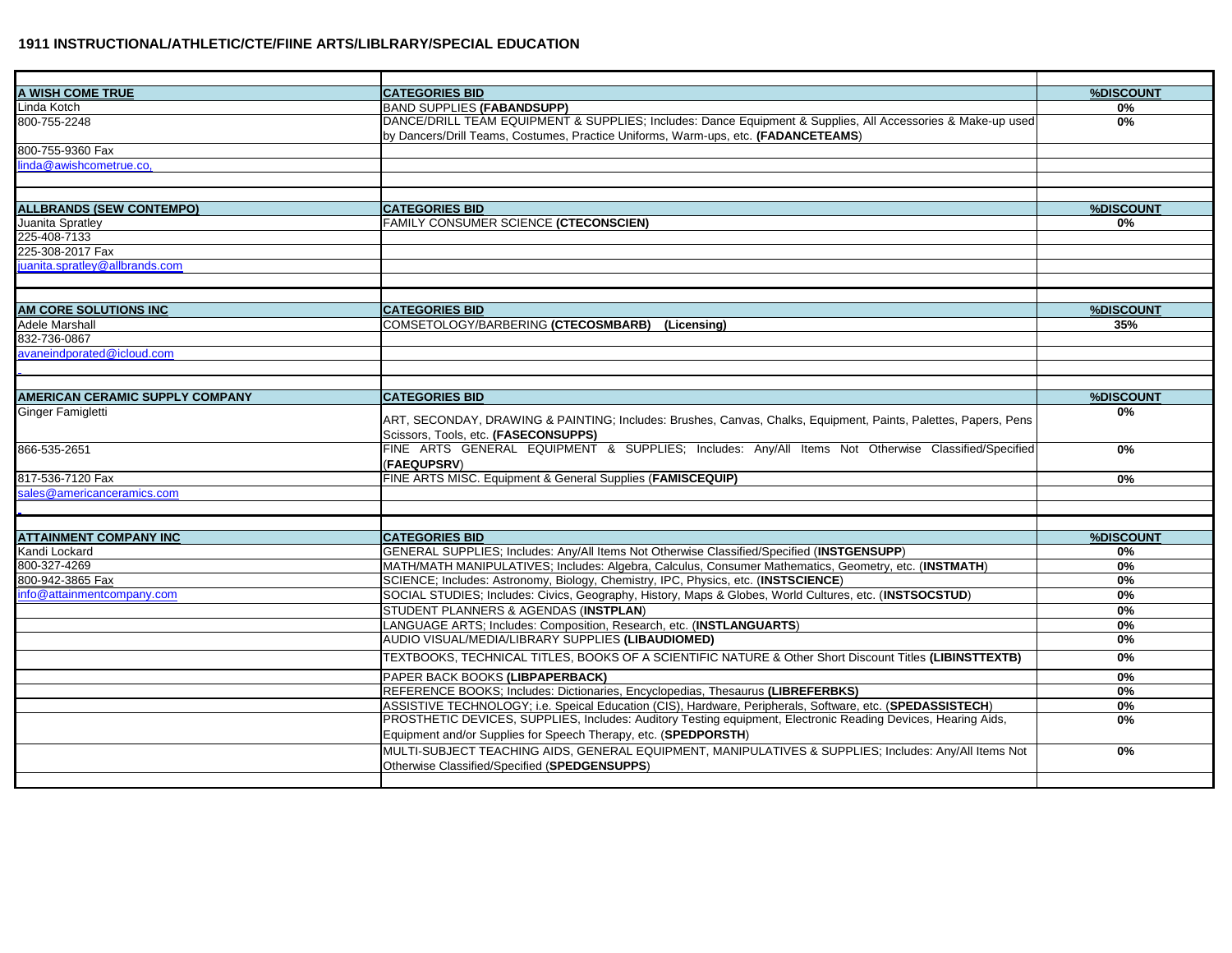| A WISH COME TRUE                                    | <b>CATEGORIES BID</b>                                                                                                                                                            | %DISCOUNT       |
|-----------------------------------------------------|----------------------------------------------------------------------------------------------------------------------------------------------------------------------------------|-----------------|
| Linda Kotch                                         | <b>BAND SUPPLIES (FABANDSUPP)</b>                                                                                                                                                | $0\%$           |
| 800-755-2248                                        | DANCE/DRILL TEAM EQUIPMENT & SUPPLIES; Includes: Dance Equipment & Supplies, All Accessories & Make-up used                                                                      | $0\%$           |
| 800-755-9360 Fax                                    | by Dancers/Drill Teams, Costumes, Practice Uniforms, Warm-ups, etc. (FADANCETEAMS)                                                                                               |                 |
| linda@awishcometrue.co,                             |                                                                                                                                                                                  |                 |
|                                                     |                                                                                                                                                                                  |                 |
|                                                     |                                                                                                                                                                                  |                 |
| <b>ALLBRANDS (SEW CONTEMPO)</b><br>Juanita Spratley | <b>CATEGORIES BID</b><br><b>FAMILY CONSUMER SCIENCE (CTECONSCIEN)</b>                                                                                                            | %DISCOUNT<br>0% |
| 225-408-7133                                        |                                                                                                                                                                                  |                 |
| 225-308-2017 Fax                                    |                                                                                                                                                                                  |                 |
| juanita.spratley@allbrands.com                      |                                                                                                                                                                                  |                 |
|                                                     |                                                                                                                                                                                  |                 |
| AM CORE SOLUTIONS INC                               | <b>CATEGORIES BID</b>                                                                                                                                                            | %DISCOUNT       |
| <b>Adele Marshall</b>                               | COMSETOLOGY/BARBERING (CTECOSMBARB) (Licensing)                                                                                                                                  | 35%             |
| 832-736-0867                                        |                                                                                                                                                                                  |                 |
| avaneindporated@icloud.com                          |                                                                                                                                                                                  |                 |
|                                                     |                                                                                                                                                                                  |                 |
| <b>AMERICAN CERAMIC SUPPLY COMPANY</b>              | <b>CATEGORIES BID</b>                                                                                                                                                            | %DISCOUNT       |
| Ginger Famigletti                                   |                                                                                                                                                                                  | 0%              |
|                                                     | ART, SECONDAY, DRAWING & PAINTING; Includes: Brushes, Canvas, Chalks, Equipment, Paints, Palettes, Papers, Pens<br>Scissors, Tools, etc. (FASECONSUPPS)                          |                 |
| 866-535-2651                                        | FINE ARTS GENERAL EQUIPMENT & SUPPLIES; Includes: Any/All Items Not Otherwise Classified/Specified<br>(FAEQUPSRV)                                                                | 0%              |
| 817-536-7120 Fax                                    | FINE ARTS MISC. Equipment & General Supplies (FAMISCEQUIP)                                                                                                                       | 0%              |
| sales@americanceramics.com                          |                                                                                                                                                                                  |                 |
|                                                     |                                                                                                                                                                                  |                 |
| <b>ATTAINMENT COMPANY INC</b>                       | <b>CATEGORIES BID</b>                                                                                                                                                            | %DISCOUNT       |
| Kandi Lockard                                       | GENERAL SUPPLIES; Includes: Any/All Items Not Otherwise Classified/Specified (INSTGENSUPP)                                                                                       | $0\%$           |
| 800-327-4269                                        | MATH/MATH MANIPULATIVES: Includes: Algebra, Calculus, Consumer Mathematics, Geometry, etc. (INSTMATH)                                                                            | $0\%$           |
| 800-942-3865 Fax                                    | SCIENCE; Includes: Astronomy, Biology, Chemistry, IPC, Physics, etc. (INSTSCIENCE)                                                                                               | 0%              |
| info@attainmentcompany.com                          | SOCIAL STUDIES; Includes: Civics, Geography, History, Maps & Globes, World Cultures, etc. (INSTSOCSTUD)                                                                          | $0\%$           |
|                                                     | STUDENT PLANNERS & AGENDAS (INSTPLAN)                                                                                                                                            | 0%              |
|                                                     | LANGUAGE ARTS; Includes: Composition, Research, etc. (INSTLANGUARTS)                                                                                                             | $0\%$           |
|                                                     | AUDIO VISUAL/MEDIA/LIBRARY SUPPLIES (LIBAUDIOMED)                                                                                                                                | 0%              |
|                                                     | TEXTBOOKS, TECHNICAL TITLES, BOOKS OF A SCIENTIFIC NATURE & Other Short Discount Titles (LIBINSTTEXTB)                                                                           | 0%              |
|                                                     | PAPER BACK BOOKS (LIBPAPERBACK)                                                                                                                                                  | 0%              |
|                                                     | REFERENCE BOOKS; Includes: Dictionaries, Encyclopedias, Thesaurus (LIBREFERBKS)                                                                                                  | 0%              |
|                                                     | ASSISTIVE TECHNOLOGY; i.e. Speical Education (CIS), Hardware, Peripherals, Software, etc. (SPEDASSISTECH)                                                                        | 0%              |
|                                                     | PROSTHETIC DEVICES, SUPPLIES, Includes: Auditory Testing equipment, Electronic Reading Devices, Hearing Aids,<br>Equipment and/or Supplies for Speech Therapy, etc. (SPEDPORSTH) | $0\%$           |
|                                                     | MULTI-SUBJECT TEACHING AIDS, GENERAL EQUIPMENT, MANIPULATIVES & SUPPLIES; Includes: Any/All Items Not                                                                            | 0%              |
|                                                     | Otherwise Classified/Specified (SPEDGENSUPPS)                                                                                                                                    |                 |
|                                                     |                                                                                                                                                                                  |                 |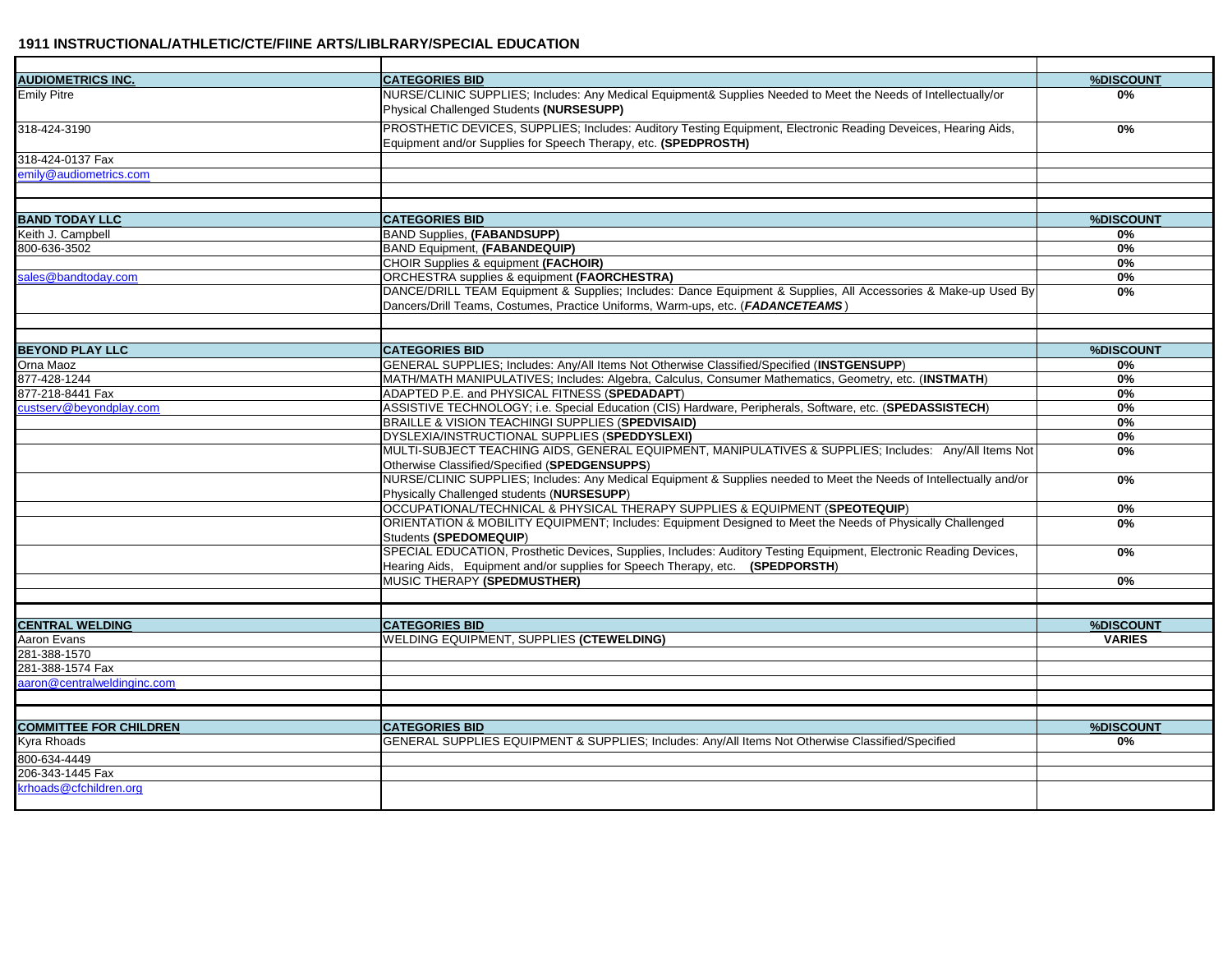| <b>AUDIOMETRICS INC.</b>      | <b>CATEGORIES BID</b>                                                                                               | %DISCOUNT     |
|-------------------------------|---------------------------------------------------------------------------------------------------------------------|---------------|
| <b>Emily Pitre</b>            | NURSE/CLINIC SUPPLIES; Includes: Any Medical Equipment& Supplies Needed to Meet the Needs of Intellectually/or      | 0%            |
|                               | Physical Challenged Students (NURSESUPP)                                                                            |               |
| 318-424-3190                  | PROSTHETIC DEVICES, SUPPLIES; Includes: Auditory Testing Equipment, Electronic Reading Deveices, Hearing Aids,      | 0%            |
|                               | Equipment and/or Supplies for Speech Therapy, etc. (SPEDPROSTH)                                                     |               |
| 318-424-0137 Fax              |                                                                                                                     |               |
| emily@audiometrics.com        |                                                                                                                     |               |
|                               |                                                                                                                     |               |
|                               |                                                                                                                     |               |
| <b>BAND TODAY LLC</b>         | <b>CATEGORIES BID</b>                                                                                               | %DISCOUNT     |
| Keith J. Campbell             | <b>BAND Supplies, (FABANDSUPP)</b>                                                                                  | 0%            |
| 800-636-3502                  | BAND Equipment, (FABANDEQUIP)                                                                                       | 0%            |
|                               | CHOIR Supplies & equipment (FACHOIR)                                                                                | 0%            |
| sales@bandtoday.com           | ORCHESTRA supplies & equipment (FAORCHESTRA)                                                                        | 0%            |
|                               | DANCE/DRILL TEAM Equipment & Supplies; Includes: Dance Equipment & Supplies, All Accessories & Make-up Used By      | 0%            |
|                               | Dancers/Drill Teams, Costumes, Practice Uniforms, Warm-ups, etc. (FADANCETEAMS)                                     |               |
|                               |                                                                                                                     |               |
| <b>BEYOND PLAY LLC</b>        | <b>CATEGORIES BID</b>                                                                                               | %DISCOUNT     |
| Orna Maoz                     | GENERAL SUPPLIES; Includes: Any/All Items Not Otherwise Classified/Specified (INSTGENSUPP)                          | 0%            |
| 877-428-1244                  | MATH/MATH MANIPULATIVES; Includes: Algebra, Calculus, Consumer Mathematics, Geometry, etc. (INSTMATH)               | 0%            |
| 877-218-8441 Fax              | ADAPTED P.E. and PHYSICAL FITNESS (SPEDADAPT)                                                                       | 0%            |
| custserv@beyondplay.com       | ASSISTIVE TECHNOLOGY; i.e. Special Education (CIS) Hardware, Peripherals, Software, etc. (SPEDASSISTECH)            | 0%            |
|                               | BRAILLE & VISION TEACHINGI SUPPLIES (SPEDVISAID)                                                                    | 0%            |
|                               | DYSLEXIA/INSTRUCTIONAL SUPPLIES (SPEDDYSLEXI)                                                                       | 0%            |
|                               | MULTI-SUBJECT TEACHING AIDS, GENERAL EQUIPMENT, MANIPULATIVES & SUPPLIES; Includes: Any/All Items Not               | $0\%$         |
|                               | Otherwise Classified/Specified (SPEDGENSUPPS)                                                                       |               |
|                               | NURSE/CLINIC SUPPLIES; Includes: Any Medical Equipment & Supplies needed to Meet the Needs of Intellectually and/or | 0%            |
|                               | Physically Challenged students (NURSESUPP)                                                                          |               |
|                               | OCCUPATIONAL/TECHNICAL & PHYSICAL THERAPY SUPPLIES & EQUIPMENT (SPEOTEQUIP)                                         | 0%            |
|                               | ORIENTATION & MOBILITY EQUIPMENT; Includes: Equipment Designed to Meet the Needs of Physically Challenged           | $0\%$         |
|                               | Students (SPEDOMEQUIP)                                                                                              |               |
|                               | SPECIAL EDUCATION, Prosthetic Devices, Supplies, Includes: Auditory Testing Equipment, Electronic Reading Devices,  | 0%            |
|                               | Hearing Aids, Equipment and/or supplies for Speech Therapy, etc. (SPEDPORSTH)                                       |               |
|                               | MUSIC THERAPY (SPEDMUSTHER)                                                                                         | 0%            |
|                               |                                                                                                                     |               |
|                               |                                                                                                                     |               |
| <b>CENTRAL WELDING</b>        | <b>CATEGORIES BID</b>                                                                                               | %DISCOUNT     |
| Aaron Evans                   | WELDING EQUIPMENT, SUPPLIES (CTEWELDING)                                                                            | <b>VARIES</b> |
| 281-388-1570                  |                                                                                                                     |               |
| 281-388-1574 Fax              |                                                                                                                     |               |
| aaron@centralweldinginc.com   |                                                                                                                     |               |
|                               |                                                                                                                     |               |
| <b>COMMITTEE FOR CHILDREN</b> | <b>CATEGORIES BID</b>                                                                                               | %DISCOUNT     |
| Kyra Rhoads                   | GENERAL SUPPLIES EQUIPMENT & SUPPLIES; Includes: Any/All Items Not Otherwise Classified/Specified                   | 0%            |
| 800-634-4449                  |                                                                                                                     |               |
| 206-343-1445 Fax              |                                                                                                                     |               |
| krhoads@cfchildren.org        |                                                                                                                     |               |
|                               |                                                                                                                     |               |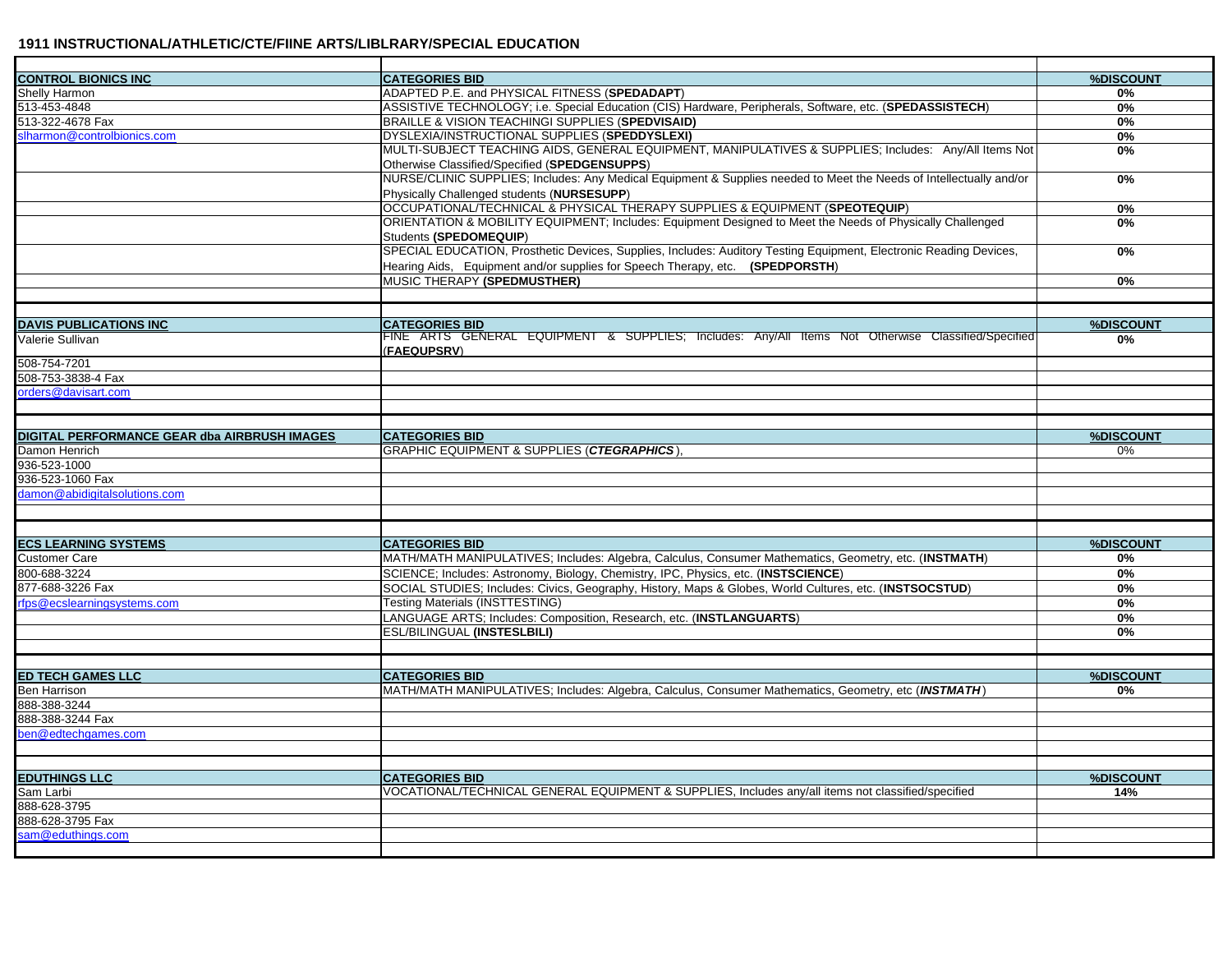| <b>CONTROL BIONICS INC</b>                   | <b>CATEGORIES BID</b>                                                                                                                                             | %DISCOUNT |
|----------------------------------------------|-------------------------------------------------------------------------------------------------------------------------------------------------------------------|-----------|
| Shelly Harmon                                | ADAPTED P.E. and PHYSICAL FITNESS (SPEDADAPT)                                                                                                                     | 0%        |
| 513-453-4848                                 | ASSISTIVE TECHNOLOGY; i.e. Special Education (CIS) Hardware, Peripherals, Software, etc. (SPEDASSISTECH)                                                          | 0%        |
| 513-322-4678 Fax                             | BRAILLE & VISION TEACHINGI SUPPLIES (SPEDVISAID)                                                                                                                  | 0%        |
| slharmon@controlbionics.com                  | DYSLEXIA/INSTRUCTIONAL SUPPLIES (SPEDDYSLEXI)                                                                                                                     | 0%        |
|                                              | MULTI-SUBJECT TEACHING AIDS, GENERAL EQUIPMENT, MANIPULATIVES & SUPPLIES; Includes: Any/All Items Not<br>Otherwise Classified/Specified (SPEDGENSUPPS)            | 0%        |
|                                              | NURSE/CLINIC SUPPLIES; Includes: Any Medical Equipment & Supplies needed to Meet the Needs of Intellectually and/or<br>Physically Challenged students (NURSESUPP) | $0\%$     |
|                                              | OCCUPATIONAL/TECHNICAL & PHYSICAL THERAPY SUPPLIES & EQUIPMENT (SPEOTEQUIP)                                                                                       | 0%        |
|                                              | ORIENTATION & MOBILITY EQUIPMENT; Includes: Equipment Designed to Meet the Needs of Physically Challenged                                                         | 0%        |
|                                              | Students (SPEDOMEQUIP)                                                                                                                                            |           |
|                                              | SPECIAL EDUCATION, Prosthetic Devices, Supplies, Includes: Auditory Testing Equipment, Electronic Reading Devices,                                                | 0%        |
|                                              | Hearing Aids, Equipment and/or supplies for Speech Therapy, etc. (SPEDPORSTH)                                                                                     |           |
|                                              | MUSIC THERAPY (SPEDMUSTHER)                                                                                                                                       | 0%        |
|                                              |                                                                                                                                                                   |           |
|                                              |                                                                                                                                                                   |           |
| <b>DAVIS PUBLICATIONS INC</b>                | <b>CATEGORIES BID</b>                                                                                                                                             | %DISCOUNT |
| Valerie Sullivan                             | FINE ARTS GENERAL EQUIPMENT & SUPPLIES; Includes: Any/All Items Not Otherwise Classified/Specified<br>(FAEQUPSRV)                                                 | $0\%$     |
| 508-754-7201                                 |                                                                                                                                                                   |           |
| 508-753-3838-4 Fax                           |                                                                                                                                                                   |           |
| orders@davisart.com                          |                                                                                                                                                                   |           |
|                                              |                                                                                                                                                                   |           |
|                                              |                                                                                                                                                                   |           |
| DIGITAL PERFORMANCE GEAR dba AIRBRUSH IMAGES | <b>CATEGORIES BID</b>                                                                                                                                             | %DISCOUNT |
| Damon Henrich                                | <b>GRAPHIC EQUIPMENT &amp; SUPPLIES (CTEGRAPHICS)</b>                                                                                                             | $0\%$     |
| 936-523-1000                                 |                                                                                                                                                                   |           |
| 936-523-1060 Fax                             |                                                                                                                                                                   |           |
| damon@abidigitalsolutions.com                |                                                                                                                                                                   |           |
|                                              |                                                                                                                                                                   |           |
|                                              |                                                                                                                                                                   |           |
| <b>ECS LEARNING SYSTEMS</b>                  | <b>CATEGORIES BID</b>                                                                                                                                             | %DISCOUNT |
| <b>Customer Care</b>                         | MATH/MATH MANIPULATIVES; Includes: Algebra, Calculus, Consumer Mathematics, Geometry, etc. (INSTMATH)                                                             | 0%        |
| 800-688-3224                                 | SCIENCE; Includes: Astronomy, Biology, Chemistry, IPC, Physics, etc. (INSTSCIENCE)                                                                                | 0%        |
| 877-688-3226 Fax                             | SOCIAL STUDIES; Includes: Civics, Geography, History, Maps & Globes, World Cultures, etc. (INSTSOCSTUD)                                                           | $0\%$     |
| rfps@ecslearningsystems.com                  | Testing Materials (INSTTESTING)                                                                                                                                   | 0%        |
|                                              | LANGUAGE ARTS; Includes: Composition, Research, etc. (INSTLANGUARTS)                                                                                              | $0\%$     |
|                                              | ESL/BILINGUAL (INSTESLBILI)                                                                                                                                       | 0%        |
|                                              |                                                                                                                                                                   |           |
| <b>ED TECH GAMES LLC</b>                     | <b>CATEGORIES BID</b>                                                                                                                                             | %DISCOUNT |
| Ben Harrison                                 | MATH/MATH MANIPULATIVES; Includes: Algebra, Calculus, Consumer Mathematics, Geometry, etc (INSTMATH)                                                              | 0%        |
| 888-388-3244                                 |                                                                                                                                                                   |           |
| 888-388-3244 Fax                             |                                                                                                                                                                   |           |
| ben@edtechgames.com                          |                                                                                                                                                                   |           |
|                                              |                                                                                                                                                                   |           |
|                                              |                                                                                                                                                                   |           |
| <b>EDUTHINGS LLC</b>                         | <b>CATEGORIES BID</b>                                                                                                                                             | %DISCOUNT |
| Sam Larbi                                    | VOCATIONAL/TECHNICAL GENERAL EQUIPMENT & SUPPLIES, Includes any/all items not classified/specified                                                                | 14%       |
| 888-628-3795                                 |                                                                                                                                                                   |           |
| 888-628-3795 Fax                             |                                                                                                                                                                   |           |
| sam@eduthings.com                            |                                                                                                                                                                   |           |
|                                              |                                                                                                                                                                   |           |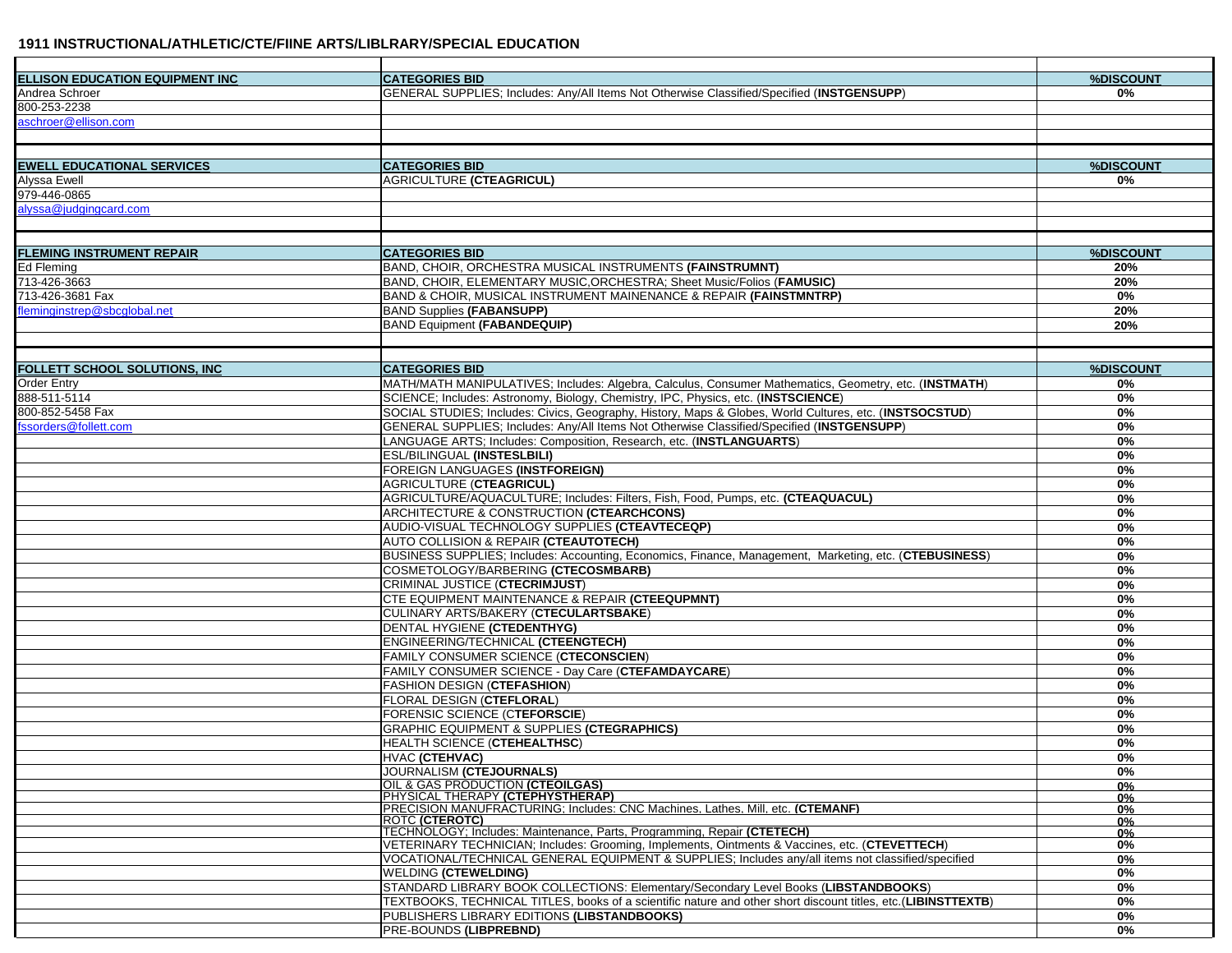| <b>ELLISON EDUCATION EQUIPMENT INC</b> | <b>CATEGORIES BID</b>                                                                                                     | %DISCOUNT   |
|----------------------------------------|---------------------------------------------------------------------------------------------------------------------------|-------------|
| Andrea Schroer                         | GENERAL SUPPLIES; Includes: Any/All Items Not Otherwise Classified/Specified (INSTGENSUPP)                                | 0%          |
| 800-253-2238                           |                                                                                                                           |             |
| aschroer@ellison.com                   |                                                                                                                           |             |
|                                        |                                                                                                                           |             |
|                                        |                                                                                                                           |             |
| <b>EWELL EDUCATIONAL SERVICES</b>      | <b>CATEGORIES BID</b>                                                                                                     | %DISCOUNT   |
| Alyssa Ewell                           | <b>AGRICULTURE (CTEAGRICUL)</b>                                                                                           | 0%          |
| 979-446-0865                           |                                                                                                                           |             |
| alyssa@judgingcard.com                 |                                                                                                                           |             |
|                                        |                                                                                                                           |             |
| <b>FLEMING INSTRUMENT REPAIR</b>       | <b>CATEGORIES BID</b>                                                                                                     | %DISCOUNT   |
| Ed Fleming                             | BAND, CHOIR, ORCHESTRA MUSICAL INSTRUMENTS (FAINSTRUMNT)                                                                  | 20%         |
| 713-426-3663                           | BAND, CHOIR, ELEMENTARY MUSIC, ORCHESTRA; Sheet Music/Folios (FAMUSIC)                                                    | 20%         |
| 713-426-3681 Fax                       | <b>BAND &amp; CHOIR, MUSICAL INSTRUMENT MAINENANCE &amp; REPAIR (FAINSTMNTRP)</b>                                         | 0%          |
| fleminginstrep@sbcglobal.net           | <b>BAND Supplies (FABANSUPP)</b>                                                                                          | 20%         |
|                                        | <b>BAND Equipment (FABANDEQUIP)</b>                                                                                       | 20%         |
|                                        |                                                                                                                           |             |
|                                        |                                                                                                                           |             |
| <b>FOLLETT SCHOOL SOLUTIONS. INC</b>   | <b>CATEGORIES BID</b>                                                                                                     | %DISCOUNT   |
| <b>Order Entry</b>                     | MATH/MATH MANIPULATIVES; Includes: Algebra, Calculus, Consumer Mathematics, Geometry, etc. (INSTMATH)                     | 0%          |
| 888-511-5114                           | SCIENCE; Includes: Astronomy, Biology, Chemistry, IPC, Physics, etc. (INSTSCIENCE)                                        | 0%          |
| 800-852-5458 Fax                       | SOCIAL STUDIES; Includes: Civics, Geography, History, Maps & Globes, World Cultures, etc. (INSTSOCSTUD)                   | $0\%$       |
| fssorders@follett.com                  | GENERAL SUPPLIES; Includes: Any/All Items Not Otherwise Classified/Specified (INSTGENSUPP)                                | 0%          |
|                                        | LANGUAGE ARTS; Includes: Composition, Research, etc. (INSTLANGUARTS)                                                      | $0\%$       |
|                                        | <b>ESL/BILINGUAL (INSTESLBILI)</b>                                                                                        | $0\%$       |
|                                        | <b>FOREIGN LANGUAGES (INSTFOREIGN)</b>                                                                                    | 0%          |
|                                        | <b>AGRICULTURE (CTEAGRICUL)</b>                                                                                           | 0%          |
|                                        | AGRICULTURE/AQUACULTURE; Includes: Filters, Fish, Food, Pumps, etc. (CTEAQUACUL)                                          | 0%          |
|                                        | ARCHITECTURE & CONSTRUCTION (CTEARCHCONS)                                                                                 | 0%          |
|                                        | AUDIO-VISUAL TECHNOLOGY SUPPLIES (CTEAVTECEQP)                                                                            | 0%          |
|                                        | <b>AUTO COLLISION &amp; REPAIR (CTEAUTOTECH)</b>                                                                          | $0\%$       |
|                                        | BUSINESS SUPPLIES; Includes: Accounting, Economics, Finance, Management, Marketing, etc. (CTEBUSINESS)                    | 0%          |
|                                        | COSMETOLOGY/BARBERING (CTECOSMBARB)                                                                                       | $0\%$       |
|                                        | CRIMINAL JUSTICE (CTECRIMJUST)                                                                                            | 0%          |
|                                        | <b>CTE EQUIPMENT MAINTENANCE &amp; REPAIR (CTEEQUPMNT)</b>                                                                | $0\%$       |
|                                        | CULINARY ARTS/BAKERY (CTECULARTSBAKE)                                                                                     | 0%          |
|                                        | DENTAL HYGIENE (CTEDENTHYG)                                                                                               |             |
|                                        |                                                                                                                           | $0\%$       |
|                                        | ENGINEERING/TECHNICAL (CTEENGTECH)                                                                                        | $0\%$       |
|                                        | <b>FAMILY CONSUMER SCIENCE (CTECONSCIEN)</b>                                                                              | 0%          |
|                                        | FAMILY CONSUMER SCIENCE - Day Care (CTEFAMDAYCARE)                                                                        | 0%          |
|                                        | <b>FASHION DESIGN (CTEFASHION)</b>                                                                                        | 0%          |
|                                        | <b>FLORAL DESIGN (CTEFLORAL)</b>                                                                                          | 0%          |
|                                        | FORENSIC SCIENCE (CTEFORSCIE)                                                                                             | $0\%$       |
|                                        | GRAPHIC EQUIPMENT & SUPPLIES (CTEGRAPHICS)                                                                                | $0\%$       |
|                                        | <b>HEALTH SCIENCE (CTEHEALTHSC)</b>                                                                                       | $0\%$       |
|                                        | <b>HVAC (CTEHVAC)</b>                                                                                                     | $0\%$       |
|                                        | <b>JOURNALISM (CTEJOURNALS)</b>                                                                                           | 0%          |
|                                        | OIL & GAS PRODUCTION (CTEOILGAS)                                                                                          | 0%          |
|                                        | PHYSICAL THERAPY (CTEPHYSTHERAP)<br><b>PRECISION MANUFRACTURING: Includes: CNC Machines, Lathes, Mill. etc. (CTEMANF)</b> | 0%          |
|                                        | <b>ROTC (CTEROTC)</b>                                                                                                     | 0%<br>$0\%$ |
|                                        | TECHNOLOGY: Includes: Maintenance, Parts, Programming, Repair (CTETECH)                                                   | 0%          |
|                                        | VETERINARY TECHNICIAN; Includes: Grooming, Implements, Ointments & Vaccines, etc. (CTEVETTECH)                            | 0%          |
|                                        | VOCATIONAL/TECHNICAL GENERAL EQUIPMENT & SUPPLIES; Includes any/all items not classified/specified                        | 0%          |
|                                        | <b>WELDING (CTEWELDING)</b>                                                                                               | 0%          |
|                                        | STANDARD LIBRARY BOOK COLLECTIONS: Elementary/Secondary Level Books (LIBSTANDBOOKS)                                       | 0%          |
|                                        | TEXTBOOKS, TECHNICAL TITLES, books of a scientific nature and other short discount titles, etc.(LIBINSTTEXTB)             | 0%          |
|                                        | PUBLISHERS LIBRARY EDITIONS (LIBSTANDBOOKS)                                                                               | 0%          |
|                                        | <b>PRE-BOUNDS (LIBPREBND)</b>                                                                                             | 0%          |
|                                        |                                                                                                                           |             |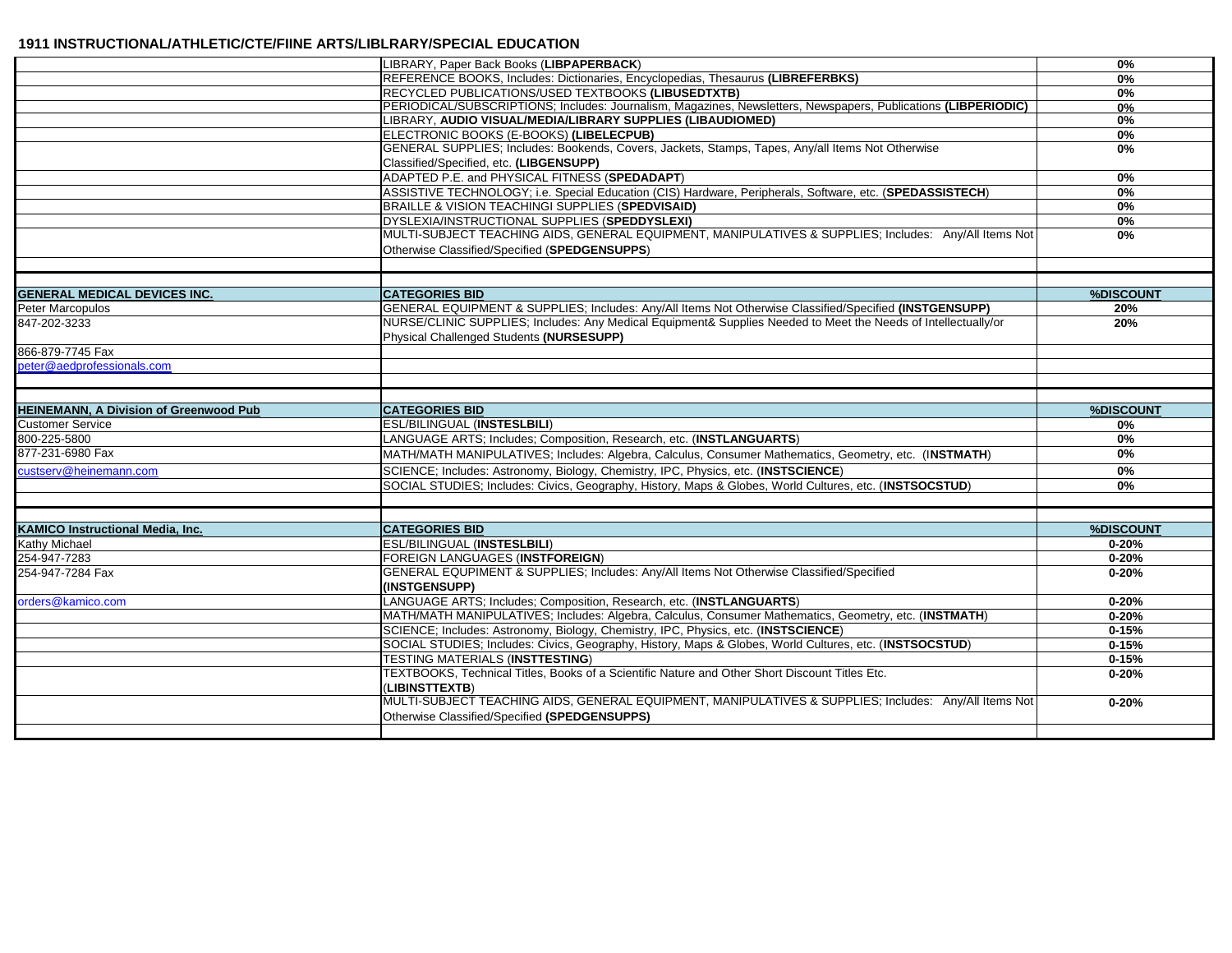|                                                                                                                   | LIBRARY, Paper Back Books (LIBPAPERBACK)                                                                                                                   | $0\%$     |
|-------------------------------------------------------------------------------------------------------------------|------------------------------------------------------------------------------------------------------------------------------------------------------------|-----------|
|                                                                                                                   | REFERENCE BOOKS, Includes: Dictionaries, Encyclopedias, Thesaurus (LIBREFERBKS)                                                                            | 0%        |
|                                                                                                                   | RECYCLED PUBLICATIONS/USED TEXTBOOKS (LIBUSEDTXTB)                                                                                                         | $0\%$     |
|                                                                                                                   | PERIODICAL/SUBSCRIPTIONS; Includes: Journalism, Magazines, Newsletters, Newspapers, Publications (LIBPERIODIC)                                             | 0%        |
|                                                                                                                   | LIBRARY, AUDIO VISUAL/MEDIA/LIBRARY SUPPLIES (LIBAUDIOMED)                                                                                                 | 0%        |
|                                                                                                                   | ELECTRONIC BOOKS (E-BOOKS) (LIBELECPUB)                                                                                                                    | $0\%$     |
|                                                                                                                   | GENERAL SUPPLIES; Includes: Bookends, Covers, Jackets, Stamps, Tapes, Any/all Items Not Otherwise                                                          | $0\%$     |
|                                                                                                                   | Classified/Specified, etc. (LIBGENSUPP)                                                                                                                    |           |
|                                                                                                                   | ADAPTED P.E. and PHYSICAL FITNESS (SPEDADAPT)                                                                                                              | $0\%$     |
|                                                                                                                   | ASSISTIVE TECHNOLOGY; i.e. Special Education (CIS) Hardware, Peripherals, Software, etc. (SPEDASSISTECH)                                                   | 0%        |
|                                                                                                                   | BRAILLE & VISION TEACHINGI SUPPLIES (SPEDVISAID)                                                                                                           | $0\%$     |
|                                                                                                                   | DYSLEXIA/INSTRUCTIONAL SUPPLIES (SPEDDYSLEXI)                                                                                                              | $0\%$     |
|                                                                                                                   | MULTI-SUBJECT TEACHING AIDS, GENERAL EQUIPMENT, MANIPULATIVES & SUPPLIES; Includes: Any/All Items Not                                                      | $0\%$     |
|                                                                                                                   | Otherwise Classified/Specified (SPEDGENSUPPS)                                                                                                              |           |
|                                                                                                                   |                                                                                                                                                            |           |
| <b>GENERAL MEDICAL DEVICES INC.</b>                                                                               | <b>CATEGORIES BID</b>                                                                                                                                      | %DISCOUNT |
| Peter Marcopulos                                                                                                  | GENERAL EQUIPMENT & SUPPLIES; Includes: Any/All Items Not Otherwise Classified/Specified (INSTGENSUPP)                                                     | 20%       |
| 847-202-3233                                                                                                      | NURSE/CLINIC SUPPLIES; Includes: Any Medical Equipment& Supplies Needed to Meet the Needs of Intellectually/or<br>Physical Challenged Students (NURSESUPP) | 20%       |
| 866-879-7745 Fax                                                                                                  |                                                                                                                                                            |           |
| peter@aedprofessionals.com                                                                                        |                                                                                                                                                            |           |
|                                                                                                                   |                                                                                                                                                            |           |
| <b>HEINEMANN, A Division of Greenwood Pub</b>                                                                     | <b>CATEGORIES BID</b>                                                                                                                                      | %DISCOUNT |
|                                                                                                                   |                                                                                                                                                            |           |
|                                                                                                                   |                                                                                                                                                            |           |
| <b>Customer Service</b>                                                                                           | <b>ESL/BILINGUAL (INSTESLBILI)</b>                                                                                                                         | 0%<br>0%  |
|                                                                                                                   | LANGUAGE ARTS; Includes; Composition, Research, etc. (INSTLANGUARTS)                                                                                       | $0\%$     |
|                                                                                                                   | MATH/MATH MANIPULATIVES; Includes: Algebra, Calculus, Consumer Mathematics, Geometry, etc. (INSTMATH)                                                      |           |
| custserv@heinemann.com                                                                                            | SCIENCE; Includes: Astronomy, Biology, Chemistry, IPC, Physics, etc. (INSTSCIENCE)                                                                         | 0%        |
|                                                                                                                   | SOCIAL STUDIES; Includes: Civics, Geography, History, Maps & Globes, World Cultures, etc. (INSTSOCSTUD)                                                    | $0\%$     |
|                                                                                                                   |                                                                                                                                                            |           |
|                                                                                                                   | <b>CATEGORIES BID</b>                                                                                                                                      | %DISCOUNT |
|                                                                                                                   | <b>ESL/BILINGUAL (INSTESLBILI)</b>                                                                                                                         | $0 - 20%$ |
|                                                                                                                   | <b>FOREIGN LANGUAGES (INSTFOREIGN)</b>                                                                                                                     | $0 - 20%$ |
| 254-947-7283<br>254-947-7284 Fax                                                                                  | GENERAL EQUPIMENT & SUPPLIES; Includes: Any/All Items Not Otherwise Classified/Specified                                                                   | $0 - 20%$ |
|                                                                                                                   | (INSTGENSUPP)                                                                                                                                              |           |
| 800-225-5800<br>877-231-6980 Fax<br><b>KAMICO Instructional Media, Inc.</b><br>Kathy Michael<br>orders@kamico.com | LANGUAGE ARTS; Includes; Composition, Research, etc. (INSTLANGUARTS)                                                                                       | $0 - 20%$ |
|                                                                                                                   | MATH/MATH MANIPULATIVES; Includes: Algebra, Calculus, Consumer Mathematics, Geometry, etc. (INSTMATH)                                                      | $0 - 20%$ |
|                                                                                                                   | SCIENCE; Includes: Astronomy, Biology, Chemistry, IPC, Physics, etc. (INSTSCIENCE)                                                                         | $0 - 15%$ |
|                                                                                                                   | SOCIAL STUDIES; Includes: Civics, Geography, History, Maps & Globes, World Cultures, etc. (INSTSOCSTUD)                                                    | $0 - 15%$ |
|                                                                                                                   | TESTING MATERIALS (INSTTESTING)                                                                                                                            | $0 - 15%$ |
|                                                                                                                   | TEXTBOOKS, Technical Titles, Books of a Scientific Nature and Other Short Discount Titles Etc.<br>(LIBINSTTEXTB)                                           | $0 - 20%$ |
|                                                                                                                   | MULTI-SUBJECT TEACHING AIDS, GENERAL EQUIPMENT, MANIPULATIVES & SUPPLIES: Includes: Any/All Items Not                                                      | $0 - 20%$ |
|                                                                                                                   | Otherwise Classified/Specified (SPEDGENSUPPS)                                                                                                              |           |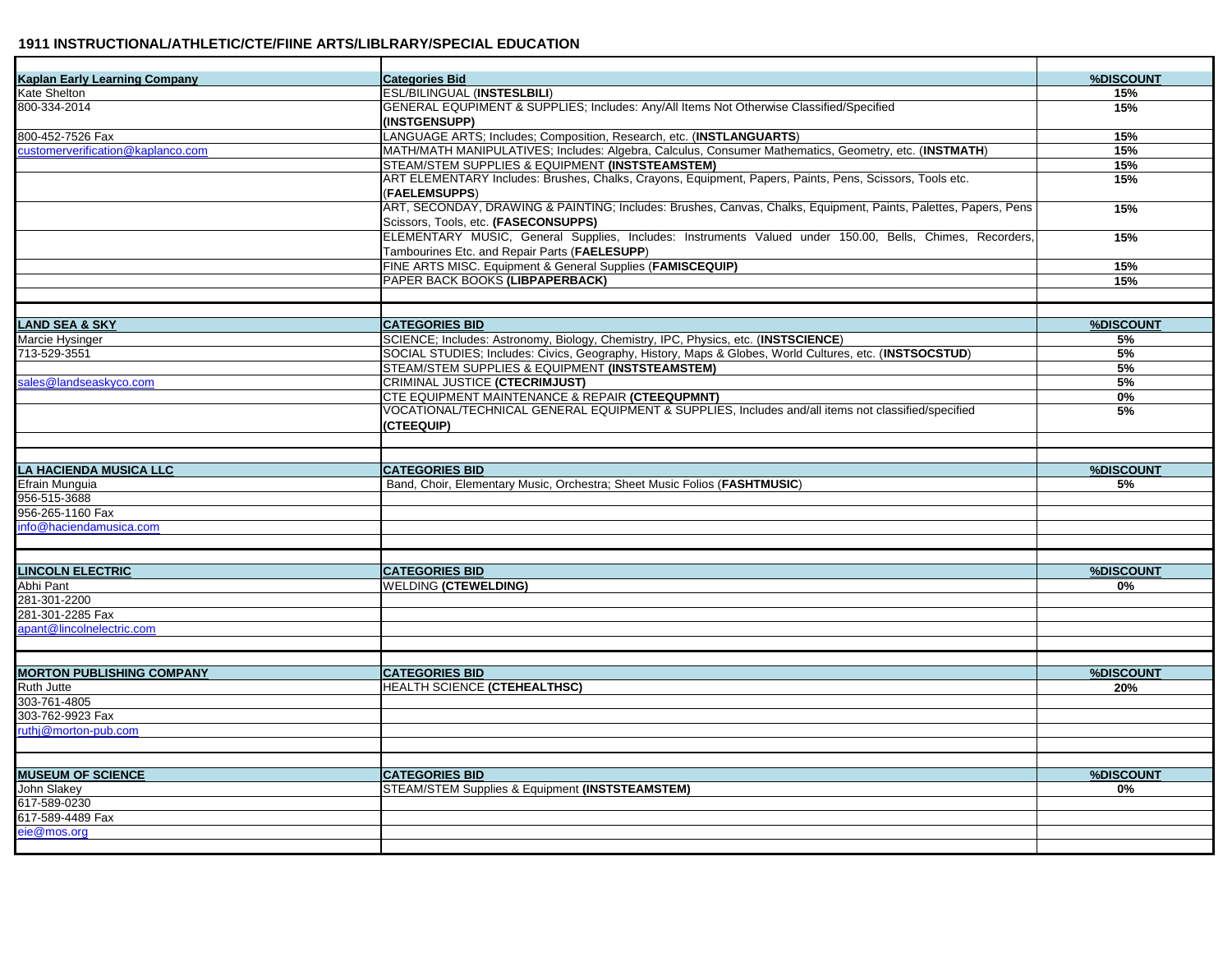| <b>Kaplan Early Learning Company</b> | <b>Categories Bid</b>                                                                                           | %DISCOUNT |
|--------------------------------------|-----------------------------------------------------------------------------------------------------------------|-----------|
| Kate Shelton                         | ESL/BILINGUAL (INSTESLBILI)                                                                                     | 15%       |
| 800-334-2014                         | GENERAL EQUPIMENT & SUPPLIES; Includes: Any/All Items Not Otherwise Classified/Specified                        | 15%       |
|                                      | (INSTGENSUPP)                                                                                                   |           |
| 800-452-7526 Fax                     | LANGUAGE ARTS; Includes; Composition, Research, etc. (INSTLANGUARTS)                                            | 15%       |
| customerverification@kaplanco.com    | MATH/MATH MANIPULATIVES; Includes: Algebra, Calculus, Consumer Mathematics, Geometry, etc. (INSTMATH)           | 15%       |
|                                      | STEAM/STEM SUPPLIES & EQUIPMENT (INSTSTEAMSTEM)                                                                 | 15%       |
|                                      | ART ELEMENTARY Includes: Brushes, Chalks, Crayons, Equipment, Papers, Paints, Pens, Scissors, Tools etc.        | 15%       |
|                                      | (FAELEMSUPPS)                                                                                                   |           |
|                                      | ART, SECONDAY, DRAWING & PAINTING; Includes: Brushes, Canvas, Chalks, Equipment, Paints, Palettes, Papers, Pens | 15%       |
|                                      | Scissors, Tools, etc. (FASECONSUPPS)                                                                            |           |
|                                      | ELEMENTARY MUSIC, General Supplies, Includes: Instruments Valued under 150.00, Bells, Chimes, Recorders,        | 15%       |
|                                      | Tambourines Etc. and Repair Parts (FAELESUPP)                                                                   |           |
|                                      | FINE ARTS MISC. Equipment & General Supplies (FAMISCEQUIP)                                                      | 15%       |
|                                      | PAPER BACK BOOKS (LIBPAPERBACK)                                                                                 | 15%       |
|                                      |                                                                                                                 |           |
|                                      |                                                                                                                 |           |
| <b>LAND SEA &amp; SKY</b>            | <b>CATEGORIES BID</b>                                                                                           | %DISCOUNT |
| Marcie Hysinger                      | SCIENCE; Includes: Astronomy, Biology, Chemistry, IPC, Physics, etc. (INSTSCIENCE)                              | 5%        |
| 713-529-3551                         | SOCIAL STUDIES; Includes: Civics, Geography, History, Maps & Globes, World Cultures, etc. (INSTSOCSTUD)         | 5%        |
|                                      | STEAM/STEM SUPPLIES & EQUIPMENT (INSTSTEAMSTEM)                                                                 | 5%        |
| sales@landseaskyco.com               | <b>CRIMINAL JUSTICE (CTECRIMJUST)</b>                                                                           | 5%        |
|                                      | CTE EQUIPMENT MAINTENANCE & REPAIR (CTEEQUPMNT)                                                                 | 0%        |
|                                      | VOCATIONAL/TECHNICAL GENERAL EQUIPMENT & SUPPLIES, Includes and/all items not classified/specified              | 5%        |
|                                      | (CTEEQUIP)                                                                                                      |           |
|                                      |                                                                                                                 |           |
|                                      |                                                                                                                 |           |
| <b>LA HACIENDA MUSICA LLC</b>        | <b>CATEGORIES BID</b>                                                                                           | %DISCOUNT |
| Efrain Munguia                       | Band, Choir, Elementary Music, Orchestra; Sheet Music Folios (FASHTMUSIC)                                       | 5%        |
| 956-515-3688                         |                                                                                                                 |           |
| 956-265-1160 Fax                     |                                                                                                                 |           |
| nfo@haciendamusica.com               |                                                                                                                 |           |
|                                      |                                                                                                                 |           |
|                                      |                                                                                                                 |           |
| <b>LINCOLN ELECTRIC</b>              | <b>CATEGORIES BID</b>                                                                                           | %DISCOUNT |
| Abhi Pant                            | <b>WELDING (CTEWELDING)</b>                                                                                     | 0%        |
| 281-301-2200                         |                                                                                                                 |           |
| 281-301-2285 Fax                     |                                                                                                                 |           |
| apant@lincolnelectric.com            |                                                                                                                 |           |
|                                      |                                                                                                                 |           |
|                                      |                                                                                                                 |           |
| <b>MORTON PUBLISHING COMPANY</b>     | <b>CATEGORIES BID</b>                                                                                           | %DISCOUNT |
| Ruth Jutte                           | HEALTH SCIENCE (CTEHEALTHSC)                                                                                    | 20%       |
| 303-761-4805                         |                                                                                                                 |           |
| 303-762-9923 Fax                     |                                                                                                                 |           |
| ruthj@morton-pub.com                 |                                                                                                                 |           |
|                                      |                                                                                                                 |           |
|                                      |                                                                                                                 |           |
| <b>MUSEUM OF SCIENCE</b>             | <b>CATEGORIES BID</b>                                                                                           | %DISCOUNT |
| John Slakey                          | STEAM/STEM Supplies & Equipment (INSTSTEAMSTEM)                                                                 | 0%        |
| 617-589-0230                         |                                                                                                                 |           |
| 617-589-4489 Fax                     |                                                                                                                 |           |
| eie@mos.ora                          |                                                                                                                 |           |
|                                      |                                                                                                                 |           |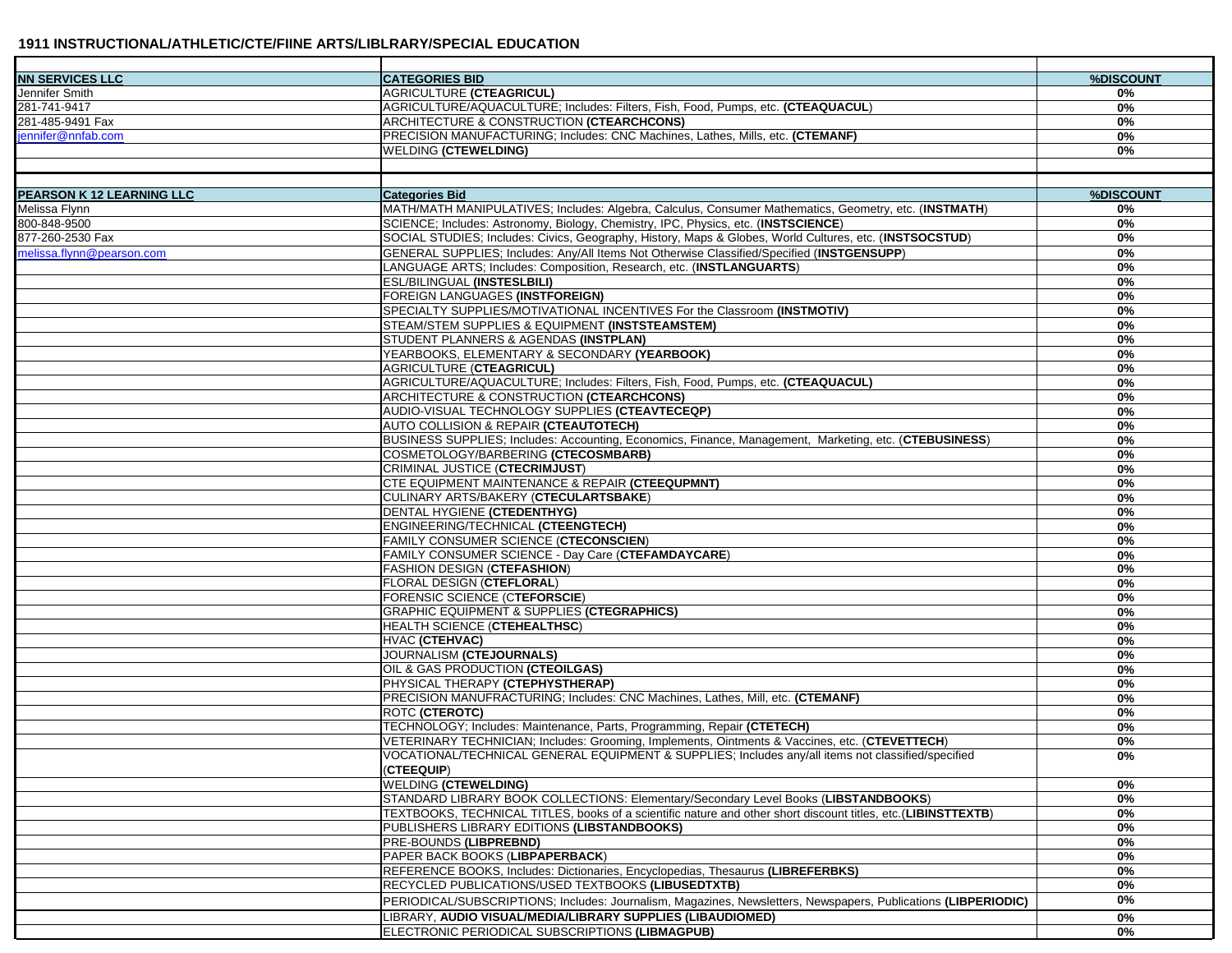| <b>NN SERVICES LLC</b>           | <b>CATEGORIES BID</b>                                                                                          | %DISCOUNT |
|----------------------------------|----------------------------------------------------------------------------------------------------------------|-----------|
| Jennifer Smith                   | AGRICULTURE (CTEAGRICUL)                                                                                       | 0%        |
| 281-741-9417                     | AGRICULTURE/AQUACULTURE; Includes: Filters, Fish, Food, Pumps, etc. (CTEAQUACUL)                               | 0%        |
| 281-485-9491 Fax                 | ARCHITECTURE & CONSTRUCTION (CTEARCHCONS)                                                                      | 0%        |
| jennifer@nnfab.com               | PRECISION MANUFACTURING; Includes: CNC Machines, Lathes, Mills, etc. (CTEMANF)                                 | 0%        |
|                                  | <b>WELDING (CTEWELDING)</b>                                                                                    | 0%        |
|                                  |                                                                                                                |           |
|                                  |                                                                                                                |           |
| <b>PEARSON K 12 LEARNING LLC</b> | <b>Categories Bid</b>                                                                                          | %DISCOUNT |
| Melissa Flynn                    | MATH/MATH MANIPULATIVES; Includes: Algebra, Calculus, Consumer Mathematics, Geometry, etc. (INSTMATH)          | 0%        |
| 800-848-9500                     | SCIENCE; Includes: Astronomy, Biology, Chemistry, IPC, Physics, etc. (INSTSCIENCE)                             | 0%        |
| 877-260-2530 Fax                 | SOCIAL STUDIES; Includes: Civics, Geography, History, Maps & Globes, World Cultures, etc. (INSTSOCSTUD)        | $0\%$     |
| melissa.flynn@pearson.com        | GENERAL SUPPLIES: Includes: Any/All Items Not Otherwise Classified/Specified (INSTGENSUPP)                     | $0\%$     |
|                                  | LANGUAGE ARTS; Includes: Composition, Research, etc. (INSTLANGUARTS)                                           | 0%        |
|                                  | <b>ESL/BILINGUAL (INSTESLBILI)</b>                                                                             | $0\%$     |
|                                  | <b>FOREIGN LANGUAGES (INSTFOREIGN)</b>                                                                         | 0%        |
|                                  | SPECIALTY SUPPLIES/MOTIVATIONAL INCENTIVES For the Classroom (INSTMOTIV)                                       | 0%        |
|                                  | STEAM/STEM SUPPLIES & EQUIPMENT (INSTSTEAMSTEM)                                                                | 0%        |
|                                  | STUDENT PLANNERS & AGENDAS (INSTPLAN)                                                                          | 0%        |
|                                  | YEARBOOKS, ELEMENTARY & SECONDARY (YEARBOOK)                                                                   | 0%        |
|                                  | AGRICULTURE (CTEAGRICUL)                                                                                       | 0%        |
|                                  | AGRICULTURE/AQUACULTURE; Includes: Filters, Fish, Food, Pumps, etc. (CTEAQUACUL)                               | $0\%$     |
|                                  | ARCHITECTURE & CONSTRUCTION (CTEARCHCONS)                                                                      | 0%        |
|                                  | AUDIO-VISUAL TECHNOLOGY SUPPLIES (CTEAVTECEQP)                                                                 | $0\%$     |
|                                  | <b>AUTO COLLISION &amp; REPAIR (CTEAUTOTECH)</b>                                                               | 0%        |
|                                  | BUSINESS SUPPLIES; Includes: Accounting, Economics, Finance, Management, Marketing, etc. (CTEBUSINESS)         | $0\%$     |
|                                  | COSMETOLOGY/BARBERING (CTECOSMBARB)                                                                            | 0%        |
|                                  | CRIMINAL JUSTICE (CTECRIMJUST)                                                                                 | $0\%$     |
|                                  | <b>CTE EQUIPMENT MAINTENANCE &amp; REPAIR (CTEEQUPMNT)</b>                                                     | 0%        |
|                                  | CULINARY ARTS/BAKERY (CTECULARTSBAKE)                                                                          | 0%        |
|                                  | DENTAL HYGIENE (CTEDENTHYG)                                                                                    | 0%        |
|                                  | ENGINEERING/TECHNICAL (CTEENGTECH)                                                                             | 0%        |
|                                  | <b>FAMILY CONSUMER SCIENCE (CTECONSCIEN)</b>                                                                   | 0%        |
|                                  | FAMILY CONSUMER SCIENCE - Day Care (CTEFAMDAYCARE)                                                             | $0\%$     |
|                                  | <b>FASHION DESIGN (CTEFASHION)</b>                                                                             | 0%        |
|                                  | <b>FLORAL DESIGN (CTEFLORAL)</b>                                                                               | 0%        |
|                                  | FORENSIC SCIENCE (CTEFORSCIE)                                                                                  | $0\%$     |
|                                  | <b>GRAPHIC EQUIPMENT &amp; SUPPLIES (CTEGRAPHICS)</b>                                                          | 0%        |
|                                  | <b>HEALTH SCIENCE (CTEHEALTHSC)</b>                                                                            | $0\%$     |
|                                  | HVAC (CTEHVAC)                                                                                                 | 0%        |
|                                  | JOURNALISM (CTEJOURNALS)                                                                                       | $0\%$     |
|                                  | OIL & GAS PRODUCTION (CTEOILGAS)                                                                               | $0\%$     |
|                                  | PHYSICAL THERAPY (CTEPHYSTHERAP)                                                                               | 0%        |
|                                  | PRECISION MANUFRACTURING; Includes: CNC Machines, Lathes, Mill, etc. (CTEMANF)                                 | 0%        |
|                                  | <b>ROTC (CTEROTC)</b>                                                                                          | 0%        |
|                                  | TECHNOLOGY; Includes: Maintenance, Parts, Programming, Repair (CTETECH)                                        | $0\%$     |
|                                  | VETERINARY TECHNICIAN; Includes: Grooming, Implements, Ointments & Vaccines, etc. (CTEVETTECH)                 | 0%        |
|                                  | VOCATIONAL/TECHNICAL GENERAL EQUIPMENT & SUPPLIES; Includes any/all items not classified/specified             | 0%        |
|                                  | (CTEEQUIP)                                                                                                     |           |
|                                  | <b>WELDING (CTEWELDING)</b>                                                                                    | 0%        |
|                                  | STANDARD LIBRARY BOOK COLLECTIONS: Elementary/Secondary Level Books (LIBSTANDBOOKS)                            | 0%        |
|                                  | TEXTBOOKS, TECHNICAL TITLES, books of a scientific nature and other short discount titles, etc.(LIBINSTTEXTB)  | 0%        |
|                                  | PUBLISHERS LIBRARY EDITIONS (LIBSTANDBOOKS)                                                                    | 0%        |
|                                  | <b>PRE-BOUNDS (LIBPREBND)</b>                                                                                  | 0%        |
|                                  | PAPER BACK BOOKS (LIBPAPERBACK)                                                                                |           |
|                                  |                                                                                                                | 0%        |
|                                  | REFERENCE BOOKS, Includes: Dictionaries, Encyclopedias, Thesaurus (LIBREFERBKS)                                | 0%        |
|                                  | RECYCLED PUBLICATIONS/USED TEXTBOOKS (LIBUSEDTXTB)                                                             | 0%        |
|                                  | PERIODICAL/SUBSCRIPTIONS; Includes: Journalism, Magazines, Newsletters, Newspapers, Publications (LIBPERIODIC) | 0%        |
|                                  | LIBRARY, AUDIO VISUAL/MEDIA/LIBRARY SUPPLIES (LIBAUDIOMED)                                                     | 0%        |
|                                  | ELECTRONIC PERIODICAL SUBSCRIPTIONS (LIBMAGPUB)                                                                | 0%        |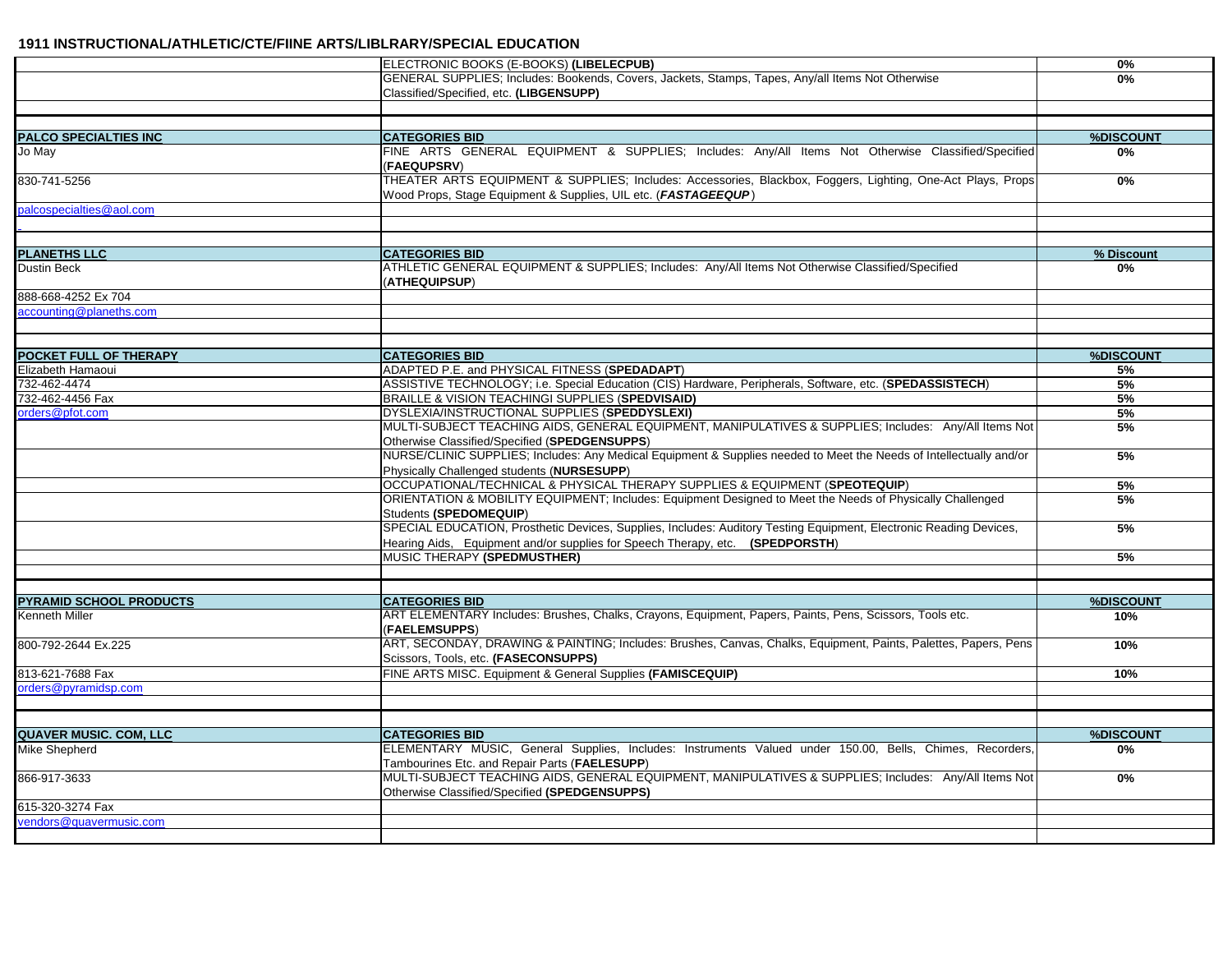|                                                  | ELECTRONIC BOOKS (E-BOOKS) (LIBELECPUB)                                                                                                                   | 0%               |
|--------------------------------------------------|-----------------------------------------------------------------------------------------------------------------------------------------------------------|------------------|
|                                                  | GENERAL SUPPLIES; Includes: Bookends, Covers, Jackets, Stamps, Tapes, Any/all Items Not Otherwise                                                         | 0%               |
|                                                  | Classified/Specified, etc. (LIBGENSUPP)                                                                                                                   |                  |
|                                                  |                                                                                                                                                           |                  |
|                                                  |                                                                                                                                                           |                  |
| <b>PALCO SPECIALTIES INC</b>                     | <b>CATEGORIES BID</b>                                                                                                                                     | %DISCOUNT        |
| Jo May                                           | FINE ARTS GENERAL EQUIPMENT & SUPPLIES; Includes: Any/All Items Not Otherwise Classified/Specified                                                        | $0\%$            |
|                                                  | (FAEQUPSRV)<br>THEATER ARTS EQUIPMENT & SUPPLIES; Includes: Accessories, Blackbox, Foggers, Lighting, One-Act Plays, Props                                |                  |
| 830-741-5256                                     | Wood Props, Stage Equipment & Supplies, UIL etc. (FASTAGEEQUP)                                                                                            | 0%               |
| palcospecialties@aol.com                         |                                                                                                                                                           |                  |
|                                                  |                                                                                                                                                           |                  |
|                                                  |                                                                                                                                                           |                  |
| <b>PLANETHS LLC</b>                              | <b>CATEGORIES BID</b>                                                                                                                                     | % Discount       |
| Dustin Beck                                      | ATHLETIC GENERAL EQUIPMENT & SUPPLIES; Includes: Any/All Items Not Otherwise Classified/Specified                                                         | 0%               |
|                                                  | (ATHEQUIPSUP)                                                                                                                                             |                  |
| 888-668-4252 Ex 704                              |                                                                                                                                                           |                  |
| accounting@planeths.com                          |                                                                                                                                                           |                  |
|                                                  |                                                                                                                                                           |                  |
|                                                  |                                                                                                                                                           |                  |
| POCKET FULL OF THERAPY                           | <b>CATEGORIES BID</b>                                                                                                                                     | %DISCOUNT<br>5%  |
| Elizabeth Hamaoui<br>732-462-4474                | ADAPTED P.E. and PHYSICAL FITNESS (SPEDADAPT)<br>ASSISTIVE TECHNOLOGY; i.e. Special Education (CIS) Hardware, Peripherals, Software, etc. (SPEDASSISTECH) | 5%               |
| 732-462-4456 Fax                                 | BRAILLE & VISION TEACHINGI SUPPLIES (SPEDVISAID)                                                                                                          | 5%               |
| orders@pfot.com                                  | DYSLEXIA/INSTRUCTIONAL SUPPLIES (SPEDDYSLEXI)                                                                                                             | 5%               |
|                                                  | MULTI-SUBJECT TEACHING AIDS, GENERAL EQUIPMENT, MANIPULATIVES & SUPPLIES; Includes: Any/All Items Not                                                     | 5%               |
|                                                  | Otherwise Classified/Specified (SPEDGENSUPPS)                                                                                                             |                  |
|                                                  | NURSE/CLINIC SUPPLIES; Includes: Any Medical Equipment & Supplies needed to Meet the Needs of Intellectually and/or                                       | 5%               |
|                                                  | Physically Challenged students (NURSESUPP)                                                                                                                |                  |
|                                                  | OCCUPATIONAL/TECHNICAL & PHYSICAL THERAPY SUPPLIES & EQUIPMENT (SPEOTEQUIP)                                                                               | 5%               |
|                                                  | ORIENTATION & MOBILITY EQUIPMENT; Includes: Equipment Designed to Meet the Needs of Physically Challenged<br>Students (SPEDOMEQUIP)                       | 5%               |
|                                                  | SPECIAL EDUCATION, Prosthetic Devices, Supplies, Includes: Auditory Testing Equipment, Electronic Reading Devices,                                        | 5%               |
|                                                  | Hearing Aids, Equipment and/or supplies for Speech Therapy, etc. (SPEDPORSTH)                                                                             |                  |
|                                                  | MUSIC THERAPY (SPEDMUSTHER)                                                                                                                               | 5%               |
|                                                  |                                                                                                                                                           |                  |
|                                                  |                                                                                                                                                           |                  |
| <b>PYRAMID SCHOOL PRODUCTS</b><br>Kenneth Miller | <b>CATEGORIES BID</b><br>ART ELEMENTARY Includes: Brushes, Chalks, Crayons, Equipment, Papers, Paints, Pens, Scissors, Tools etc.                         | %DISCOUNT<br>10% |
|                                                  | (FAELEMSUPPS)                                                                                                                                             |                  |
| 800-792-2644 Ex.225                              | ART, SECONDAY, DRAWING & PAINTING; Includes: Brushes, Canvas, Chalks, Equipment, Paints, Palettes, Papers, Pens                                           | 10%              |
|                                                  | Scissors, Tools, etc. (FASECONSUPPS)                                                                                                                      |                  |
| 813-621-7688 Fax                                 | FINE ARTS MISC. Equipment & General Supplies (FAMISCEQUIP)                                                                                                | 10%              |
| orders@pyramidsp.com                             |                                                                                                                                                           |                  |
|                                                  |                                                                                                                                                           |                  |
|                                                  |                                                                                                                                                           |                  |
| <b>QUAVER MUSIC. COM, LLC</b>                    | <b>CATEGORIES BID</b>                                                                                                                                     | %DISCOUNT        |
| Mike Shepherd                                    | ELEMENTARY MUSIC, General Supplies, Includes: Instruments Valued under 150.00, Bells, Chimes, Recorders,<br>Tambourines Etc. and Repair Parts (FAELESUPP) | 0%               |
| 866-917-3633                                     | MULTI-SUBJECT TEACHING AIDS, GENERAL EQUIPMENT, MANIPULATIVES & SUPPLIES; Includes: Any/All Items Not                                                     | $0\%$            |
|                                                  | Otherwise Classified/Specified (SPEDGENSUPPS)                                                                                                             |                  |
| 615-320-3274 Fax                                 |                                                                                                                                                           |                  |
| vendors@quavermusic.com                          |                                                                                                                                                           |                  |
|                                                  |                                                                                                                                                           |                  |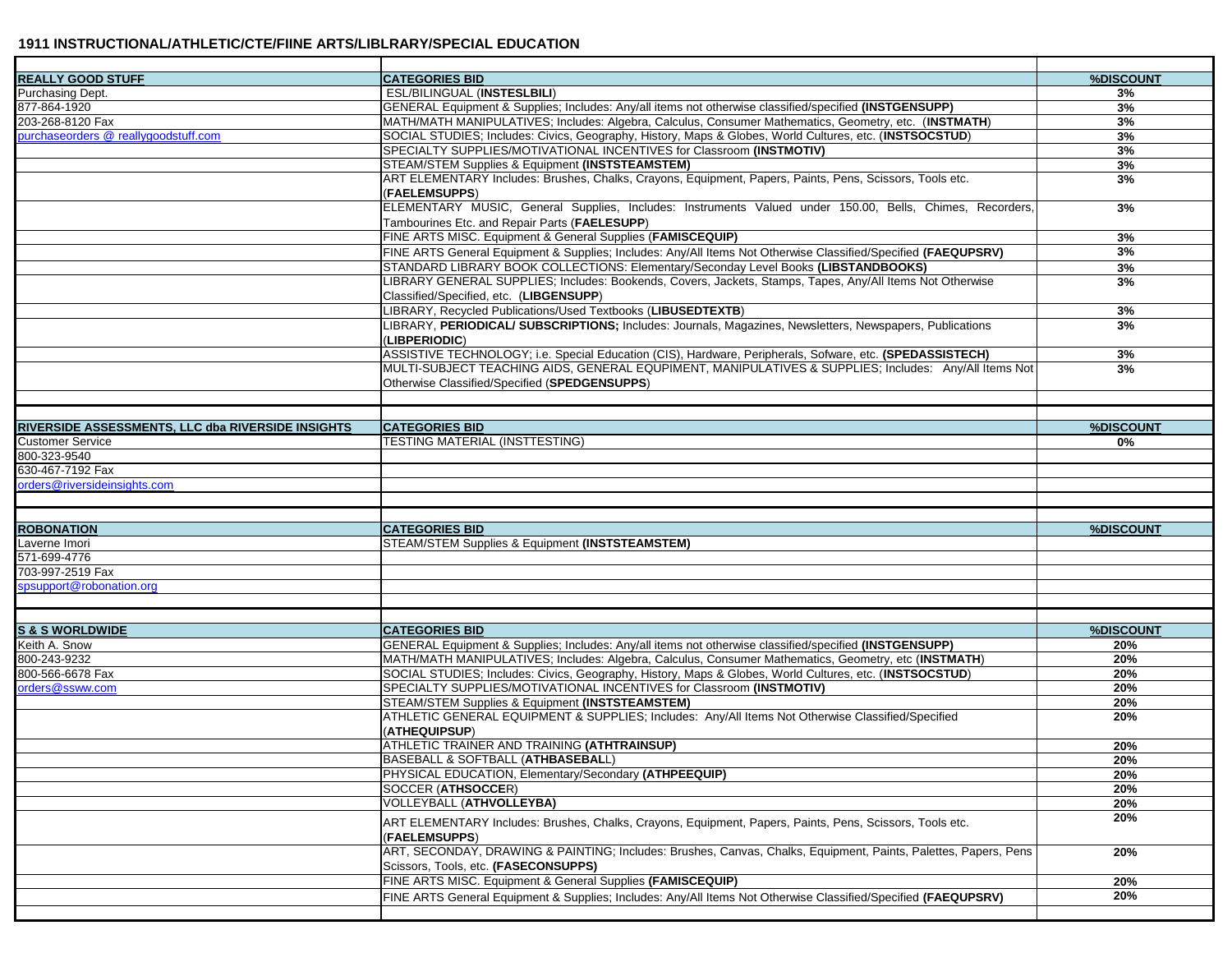| <b>REALLY GOOD STUFF</b>                          | <b>CATEGORIES BID</b>                                                                                                                                     | %DISCOUNT |
|---------------------------------------------------|-----------------------------------------------------------------------------------------------------------------------------------------------------------|-----------|
| Purchasing Dept.                                  | ESL/BILINGUAL (INSTESLBILI)                                                                                                                               | 3%        |
| 877-864-1920                                      | GENERAL Equipment & Supplies; Includes: Any/all items not otherwise classified/specified (INSTGENSUPP)                                                    | 3%        |
| 203-268-8120 Fax                                  | MATH/MATH MANIPULATIVES; Includes: Algebra, Calculus, Consumer Mathematics, Geometry, etc. (INSTMATH)                                                     | 3%        |
| purchaseorders @ reallygoodstuff.com              | SOCIAL STUDIES; Includes: Civics, Geography, History, Maps & Globes, World Cultures, etc. (INSTSOCSTUD)                                                   | 3%        |
|                                                   | SPECIALTY SUPPLIES/MOTIVATIONAL INCENTIVES for Classroom (INSTMOTIV)                                                                                      | 3%        |
|                                                   | STEAM/STEM Supplies & Equipment (INSTSTEAMSTEM)                                                                                                           | 3%        |
|                                                   | ART ELEMENTARY Includes: Brushes, Chalks, Crayons, Equipment, Papers, Paints, Pens, Scissors, Tools etc.                                                  | 3%        |
|                                                   | (FAELEMSUPPS)                                                                                                                                             |           |
|                                                   | ELEMENTARY MUSIC, General Supplies, Includes: Instruments Valued under 150.00, Bells, Chimes, Recorders,<br>Tambourines Etc. and Repair Parts (FAELESUPP) | 3%        |
|                                                   | FINE ARTS MISC. Equipment & General Supplies (FAMISCEQUIP)                                                                                                | 3%        |
|                                                   | FINE ARTS General Equipment & Supplies; Includes: Any/All Items Not Otherwise Classified/Specified (FAEQUPSRV)                                            | 3%        |
|                                                   | STANDARD LIBRARY BOOK COLLECTIONS: Elementary/Seconday Level Books (LIBSTANDBOOKS)                                                                        | 3%        |
|                                                   | LIBRARY GENERAL SUPPLIES; Includes: Bookends, Covers, Jackets, Stamps, Tapes, Any/All Items Not Otherwise                                                 | 3%        |
|                                                   | Classified/Specified, etc. (LIBGENSUPP)                                                                                                                   |           |
|                                                   | LIBRARY, Recycled Publications/Used Textbooks (LIBUSEDTEXTB)                                                                                              |           |
|                                                   |                                                                                                                                                           | 3%<br>3%  |
|                                                   | LIBRARY, PERIODICAL/ SUBSCRIPTIONS; Includes: Journals, Magazines, Newsletters, Newspapers, Publications<br>(LIBPERIODIC)                                 |           |
|                                                   | ASSISTIVE TECHNOLOGY; i.e. Special Education (CIS), Hardware, Peripherals, Sofware, etc. (SPEDASSISTECH)                                                  | 3%        |
|                                                   | MULTI-SUBJECT TEACHING AIDS, GENERAL EQUPIMENT, MANIPULATIVES & SUPPLIES; Includes: Any/All Items Not                                                     | 3%        |
|                                                   | Otherwise Classified/Specified (SPEDGENSUPPS)                                                                                                             |           |
|                                                   |                                                                                                                                                           |           |
|                                                   |                                                                                                                                                           |           |
| RIVERSIDE ASSESSMENTS, LLC dba RIVERSIDE INSIGHTS | <b>CATEGORIES BID</b>                                                                                                                                     | %DISCOUNT |
| <b>Customer Service</b>                           | <b>TESTING MATERIAL (INSTTESTING)</b>                                                                                                                     | 0%        |
| 800-323-9540                                      |                                                                                                                                                           |           |
| 630-467-7192 Fax                                  |                                                                                                                                                           |           |
| orders@riversideinsights.com                      |                                                                                                                                                           |           |
|                                                   |                                                                                                                                                           |           |
|                                                   |                                                                                                                                                           |           |
|                                                   |                                                                                                                                                           |           |
| <b>ROBONATION</b>                                 | <b>CATEGORIES BID</b>                                                                                                                                     | %DISCOUNT |
| Laverne Imori                                     | STEAM/STEM Supplies & Equipment (INSTSTEAMSTEM)                                                                                                           |           |
| 571-699-4776                                      |                                                                                                                                                           |           |
| 703-997-2519 Fax                                  |                                                                                                                                                           |           |
| spsupport@robonation.org                          |                                                                                                                                                           |           |
|                                                   |                                                                                                                                                           |           |
|                                                   |                                                                                                                                                           |           |
|                                                   |                                                                                                                                                           |           |
|                                                   | <b>CATEGORIES BID</b>                                                                                                                                     | %DISCOUNT |
|                                                   |                                                                                                                                                           |           |
| S & S WORLDWIDE<br>Keith A. Snow                  | GENERAL Equipment & Supplies; Includes: Any/all items not otherwise classified/specified (INSTGENSUPP)                                                    | 20%       |
| 800-243-9232                                      | MATH/MATH MANIPULATIVES; Includes: Algebra, Calculus, Consumer Mathematics, Geometry, etc (INSTMATH)                                                      | 20%       |
| 800-566-6678 Fax                                  | SOCIAL STUDIES; Includes: Civics, Geography, History, Maps & Globes, World Cultures, etc. (INSTSOCSTUD)                                                   | 20%       |
| orders@ssww.com                                   | SPECIALTY SUPPLIES/MOTIVATIONAL INCENTIVES for Classroom (INSTMOTIV)                                                                                      | 20%       |
|                                                   | STEAM/STEM Supplies & Equipment (INSTSTEAMSTEM)                                                                                                           | 20%       |
|                                                   | ATHLETIC GENERAL EQUIPMENT & SUPPLIES; Includes: Any/All Items Not Otherwise Classified/Specified<br>(ATHEQUIPSUP)                                        | 20%       |
|                                                   | ATHLETIC TRAINER AND TRAINING (ATHTRAINSUP)                                                                                                               | 20%       |
|                                                   | BASEBALL & SOFTBALL (ATHBASEBALL)                                                                                                                         | 20%       |
|                                                   | PHYSICAL EDUCATION, Elementary/Secondary (ATHPEEQUIP)                                                                                                     | 20%       |
|                                                   | SOCCER (ATHSOCCER)                                                                                                                                        | 20%       |
|                                                   |                                                                                                                                                           | 20%       |
|                                                   | VOLLEYBALL (ATHVOLLEYBA)<br>ART ELEMENTARY Includes: Brushes, Chalks, Crayons, Equipment, Papers, Paints, Pens, Scissors, Tools etc.                      | 20%       |
|                                                   | (FAELEMSUPPS)<br>ART, SECONDAY, DRAWING & PAINTING; Includes: Brushes, Canvas, Chalks, Equipment, Paints, Palettes, Papers, Pens                          | 20%       |
|                                                   | Scissors, Tools, etc. (FASECONSUPPS)                                                                                                                      |           |
|                                                   | FINE ARTS MISC. Equipment & General Supplies (FAMISCEQUIP)                                                                                                | 20%       |
|                                                   | FINE ARTS General Equipment & Supplies; Includes: Any/All Items Not Otherwise Classified/Specified (FAEQUPSRV)                                            | 20%       |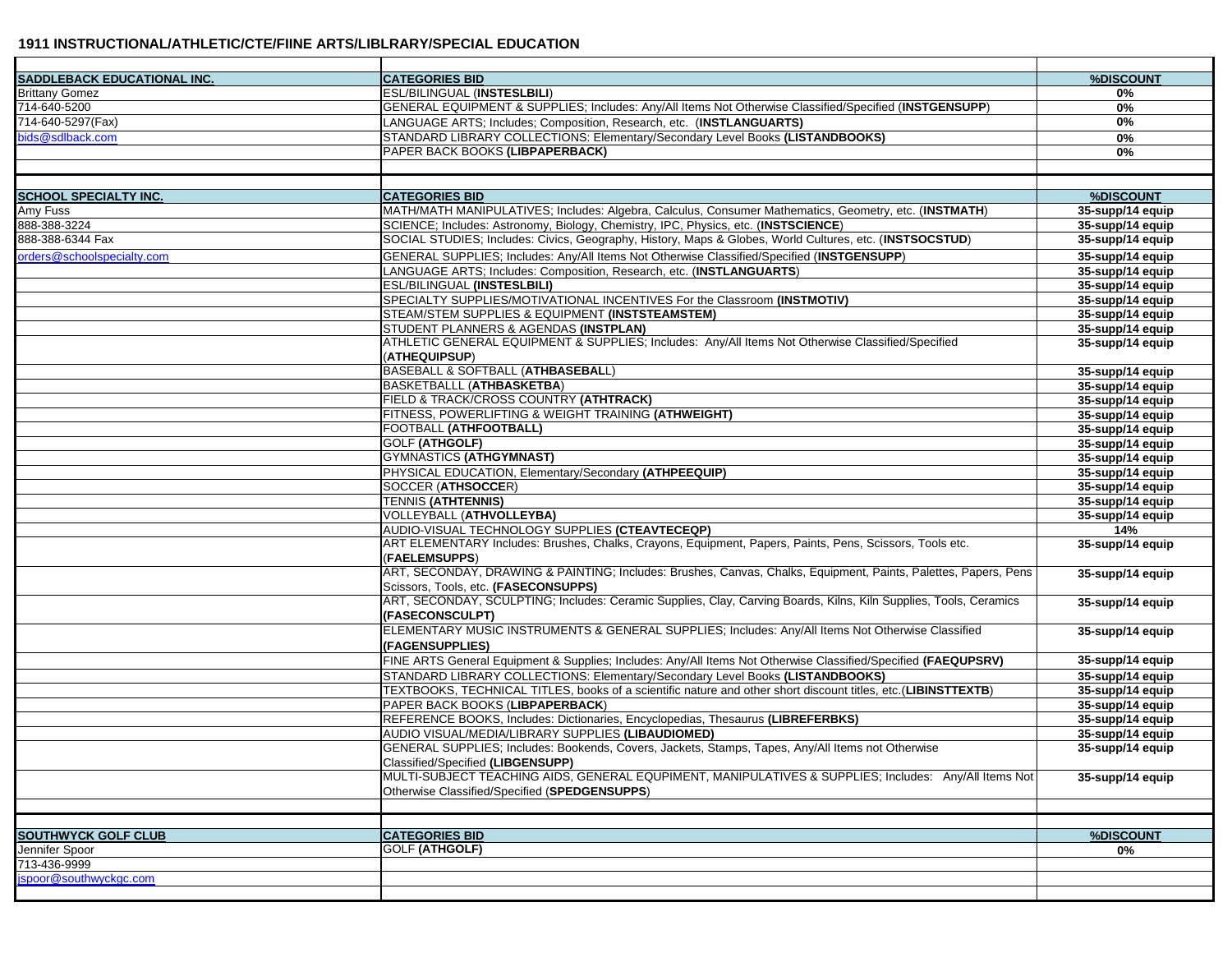| <b>SADDLEBACK EDUCATIONAL INC.</b> | <b>CATEGORIES BID</b>                                                                                             | %DISCOUNT        |
|------------------------------------|-------------------------------------------------------------------------------------------------------------------|------------------|
| <b>Brittany Gomez</b>              | <b>ESL/BILINGUAL (INSTESLBILI)</b>                                                                                | 0%               |
| 714-640-5200                       | GENERAL EQUIPMENT & SUPPLIES; Includes: Any/All Items Not Otherwise Classified/Specified (INSTGENSUPP)            | 0%               |
| 714-640-5297(Fax)                  | LANGUAGE ARTS; Includes; Composition, Research, etc. (INSTLANGUARTS)                                              | 0%               |
| bids@sdlback.com                   | STANDARD LIBRARY COLLECTIONS: Elementary/Secondary Level Books (LISTANDBOOKS)                                     | 0%               |
|                                    | PAPER BACK BOOKS (LIBPAPERBACK)                                                                                   | 0%               |
|                                    |                                                                                                                   |                  |
|                                    |                                                                                                                   |                  |
| <b>SCHOOL SPECIALTY INC.</b>       | <b>CATEGORIES BID</b>                                                                                             | %DISCOUNT        |
| Amy Fuss                           | MATH/MATH MANIPULATIVES; Includes: Algebra, Calculus, Consumer Mathematics, Geometry, etc. (INSTMATH)             | 35-supp/14 equip |
| 888-388-3224                       | SCIENCE; Includes: Astronomy, Biology, Chemistry, IPC, Physics, etc. (INSTSCIENCE)                                | 35-supp/14 equip |
| 888-388-6344 Fax                   | SOCIAL STUDIES; Includes: Civics, Geography, History, Maps & Globes, World Cultures, etc. (INSTSOCSTUD)           | 35-supp/14 equip |
| orders@schoolspecialty.com         | GENERAL SUPPLIES; Includes: Any/All Items Not Otherwise Classified/Specified (INSTGENSUPP)                        | 35-supp/14 equip |
|                                    |                                                                                                                   |                  |
|                                    | LANGUAGE ARTS; Includes: Composition, Research, etc. (INSTLANGUARTS)                                              | 35-supp/14 equip |
|                                    | <b>ESL/BILINGUAL (INSTESLBILI)</b>                                                                                | 35-supp/14 equip |
|                                    | SPECIALTY SUPPLIES/MOTIVATIONAL INCENTIVES For the Classroom (INSTMOTIV)                                          | 35-supp/14 equip |
|                                    | STEAM/STEM SUPPLIES & EQUIPMENT (INSTSTEAMSTEM)                                                                   | 35-supp/14 equip |
|                                    | STUDENT PLANNERS & AGENDAS (INSTPLAN)                                                                             | 35-supp/14 equip |
|                                    | ATHLETIC GENERAL EQUIPMENT & SUPPLIES; Includes: Any/All Items Not Otherwise Classified/Specified                 | 35-supp/14 equip |
|                                    | (ATHEQUIPSUP)                                                                                                     |                  |
|                                    | <b>BASEBALL &amp; SOFTBALL (ATHBASEBALL)</b>                                                                      | 35-supp/14 equip |
|                                    | <b>BASKETBALLL (ATHBASKETBA)</b>                                                                                  | 35-supp/14 equip |
|                                    | <b>FIELD &amp; TRACK/CROSS COUNTRY (ATHTRACK)</b>                                                                 | 35-supp/14 equip |
|                                    | FITNESS, POWERLIFTING & WEIGHT TRAINING (ATHWEIGHT)                                                               | 35-supp/14 equip |
|                                    | FOOTBALL (ATHFOOTBALL)                                                                                            | 35-supp/14 equip |
|                                    | <b>GOLF (ATHGOLF)</b>                                                                                             | 35-supp/14 equip |
|                                    | <b>GYMNASTICS (ATHGYMNAST)</b>                                                                                    | 35-supp/14 equip |
|                                    | PHYSICAL EDUCATION, Elementary/Secondary (ATHPEEQUIP)                                                             | 35-supp/14 equip |
|                                    | SOCCER (ATHSOCCER)                                                                                                | 35-supp/14 equip |
|                                    | <b>TENNIS (ATHTENNIS)</b>                                                                                         | 35-supp/14 equip |
|                                    | VOLLEYBALL (ATHVOLLEYBA)                                                                                          | 35-supp/14 equip |
|                                    | AUDIO-VISUAL TECHNOLOGY SUPPLIES (CTEAVTECEQP)                                                                    | 14%              |
|                                    | ART ELEMENTARY Includes: Brushes, Chalks, Crayons, Equipment, Papers, Paints, Pens, Scissors, Tools etc.          | 35-supp/14 equip |
|                                    | (FAELEMSUPPS)                                                                                                     |                  |
|                                    | ART, SECONDAY, DRAWING & PAINTING; Includes: Brushes, Canvas, Chalks, Equipment, Paints, Palettes, Papers, Pens   | 35-supp/14 equip |
|                                    | Scissors, Tools, etc. (FASECONSUPPS)                                                                              |                  |
|                                    | ART, SECONDAY, SCULPTING; Includes: Ceramic Supplies, Clay, Carving Boards, Kilns, Kiln Supplies, Tools, Ceramics | 35-supp/14 equip |
|                                    | <b>(FASECONSCULPT)</b>                                                                                            |                  |
|                                    | ELEMENTARY MUSIC INSTRUMENTS & GENERAL SUPPLIES; Includes: Any/All Items Not Otherwise Classified                 | 35-supp/14 equip |
|                                    | (FAGENSUPPLIES)                                                                                                   |                  |
|                                    |                                                                                                                   |                  |
|                                    | FINE ARTS General Equipment & Supplies; Includes: Any/All Items Not Otherwise Classified/Specified (FAEQUPSRV)    | 35-supp/14 equip |
|                                    | STANDARD LIBRARY COLLECTIONS: Elementary/Secondary Level Books (LISTANDBOOKS)                                     | 35-supp/14 equip |
|                                    | TEXTBOOKS, TECHNICAL TITLES, books of a scientific nature and other short discount titles, etc.(LIBINSTTEXTB)     | 35-supp/14 equip |
|                                    | PAPER BACK BOOKS (LIBPAPERBACK)                                                                                   | 35-supp/14 equip |
|                                    | REFERENCE BOOKS, Includes: Dictionaries, Encyclopedias, Thesaurus (LIBREFERBKS)                                   | 35-supp/14 equip |
|                                    | AUDIO VISUAL/MEDIA/LIBRARY SUPPLIES (LIBAUDIOMED)                                                                 | 35-supp/14 equip |
|                                    | GENERAL SUPPLIES; Includes: Bookends, Covers, Jackets, Stamps, Tapes, Any/All Items not Otherwise                 | 35-supp/14 equip |
|                                    | Classified/Specified (LIBGENSUPP)                                                                                 |                  |
|                                    | MULTI-SUBJECT TEACHING AIDS, GENERAL EQUPIMENT, MANIPULATIVES & SUPPLIES; Includes: Any/All Items Not             | 35-supp/14 equip |
|                                    | Otherwise Classified/Specified (SPEDGENSUPPS)                                                                     |                  |
|                                    |                                                                                                                   |                  |
|                                    |                                                                                                                   |                  |
| <b>SOUTHWYCK GOLF CLUB</b>         | <b>CATEGORIES BID</b>                                                                                             | %DISCOUNT        |
| Jennifer Spoor                     | <b>GOLF (ATHGOLF)</b>                                                                                             | 0%               |
| 713-436-9999                       |                                                                                                                   |                  |
| spoor@southwyckgc.com              |                                                                                                                   |                  |
|                                    |                                                                                                                   |                  |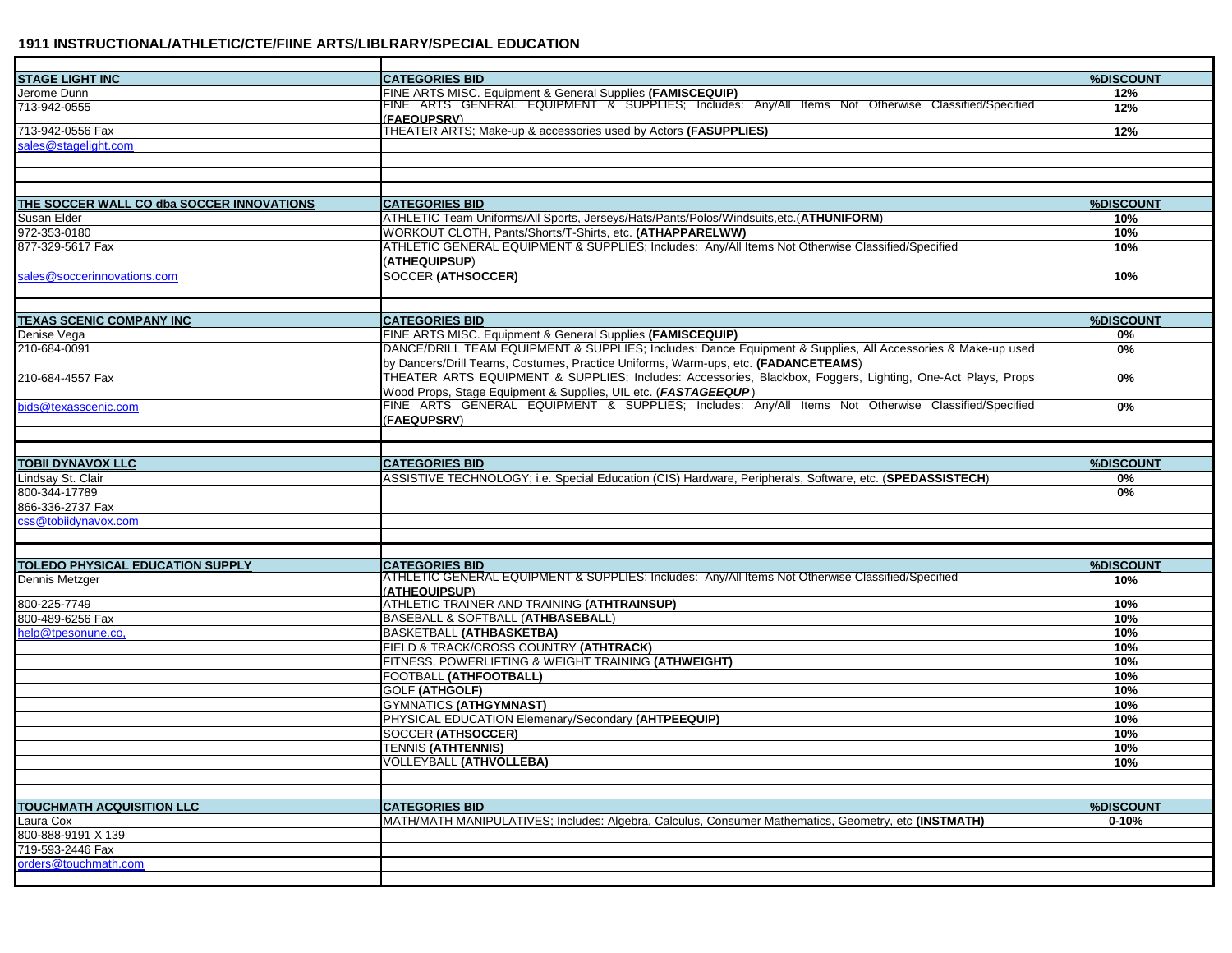| <b>CATEGORIES BID</b><br>%DISCOUNT<br>FINE ARTS MISC. Equipment & General Supplies (FAMISCEQUIP)<br>FINE ARTS GENERAL EQUIPMENT & SUPPLIES; Includes: Any/All Items Not Otherwise Classified/Specified<br>12%<br>713-942-0555<br>12%<br>(FAEQUPSRV)<br>713-942-0556 Fax<br>THEATER ARTS; Make-up & accessories used by Actors (FASUPPLIES)<br>12%<br>sales@stagelight.com<br>THE SOCCER WALL CO dba SOCCER INNOVATIONS<br><b>CATEGORIES BID</b><br>%DISCOUNT<br>ATHLETIC Team Uniforms/All Sports, Jerseys/Hats/Pants/Polos/Windsuits,etc.(ATHUNIFORM)<br>Susan Elder<br>10%<br>WORKOUT CLOTH, Pants/Shorts/T-Shirts, etc. (ATHAPPARELWW)<br>10%<br>ATHLETIC GENERAL EQUIPMENT & SUPPLIES: Includes: Anv/All Items Not Otherwise Classified/Specified<br>10%<br>(ATHEQUIPSUP)<br><b>SOCCER (ATHSOCCER)</b><br>10%<br><b>CATEGORIES BID</b><br>%DISCOUNT<br>FINE ARTS MISC. Equipment & General Supplies (FAMISCEQUIP)<br>0%<br>DANCE/DRILL TEAM EQUIPMENT & SUPPLIES; Includes: Dance Equipment & Supplies, All Accessories & Make-up used<br>0%<br>by Dancers/Drill Teams, Costumes, Practice Uniforms, Warm-ups, etc. (FADANCETEAMS)<br>THEATER ARTS EQUIPMENT & SUPPLIES; Includes: Accessories, Blackbox, Foggers, Lighting, One-Act Plays, Props<br>0%<br>Wood Props, Stage Equipment & Supplies, UIL etc. (FASTAGEEQUP)<br>FINE ARTS GENERAL EQUIPMENT & SUPPLIES; Includes: Any/All Items Not Otherwise Classified/Specified<br>0%<br>(FAEQUPSRV)<br>%DISCOUNT<br><b>CATEGORIES BID</b><br>ASSISTIVE TECHNOLOGY; i.e. Special Education (CIS) Hardware, Peripherals, Software, etc. (SPEDASSISTECH)<br>0%<br>800-344-17789<br>0%<br>866-336-2737 Fax<br>css@tobiidynavox.com<br><b>TOLEDO PHYSICAL EDUCATION SUPPLY</b><br><b>CATEGORIES BID</b><br>%DISCOUNT<br>ATHLETIC GENERAL EQUIPMENT & SUPPLIES; Includes: Any/All Items Not Otherwise Classified/Specified<br>Dennis Metzger<br>10%<br>(ATHEQUIPSUP)<br>ATHLETIC TRAINER AND TRAINING (ATHTRAINSUP)<br>800-225-7749<br>10%<br>BASEBALL & SOFTBALL (ATHBASEBALL)<br>10%<br><b>BASKETBALL (ATHBASKETBA)</b><br>10%<br>FIELD & TRACK/CROSS COUNTRY (ATHTRACK)<br>10%<br>FITNESS, POWERLIFTING & WEIGHT TRAINING (ATHWEIGHT)<br>10%<br>FOOTBALL (ATHFOOTBALL)<br>10%<br><b>GOLF (ATHGOLF)</b><br>10%<br><b>GYMNATICS (ATHGYMNAST)</b><br>10%<br>PHYSICAL EDUCATION Elemenary/Secondary (AHTPEEQUIP)<br>10%<br><b>SOCCER (ATHSOCCER)</b><br>10%<br><b>TENNIS (ATHTENNIS)</b><br>10%<br><b>VOLLEYBALL (ATHVOLLEBA)</b><br>10%<br><b>TOUCHMATH ACQUISITION LLC</b><br><b>CATEGORIES BID</b><br>%DISCOUNT<br>MATH/MATH MANIPULATIVES; Includes: Algebra, Calculus, Consumer Mathematics, Geometry, etc (INSTMATH)<br>Laura Cox<br>$0 - 10%$<br>800-888-9191 X 139<br>719-593-2446 Fax<br>orders@touchmath.com |                                 |  |
|----------------------------------------------------------------------------------------------------------------------------------------------------------------------------------------------------------------------------------------------------------------------------------------------------------------------------------------------------------------------------------------------------------------------------------------------------------------------------------------------------------------------------------------------------------------------------------------------------------------------------------------------------------------------------------------------------------------------------------------------------------------------------------------------------------------------------------------------------------------------------------------------------------------------------------------------------------------------------------------------------------------------------------------------------------------------------------------------------------------------------------------------------------------------------------------------------------------------------------------------------------------------------------------------------------------------------------------------------------------------------------------------------------------------------------------------------------------------------------------------------------------------------------------------------------------------------------------------------------------------------------------------------------------------------------------------------------------------------------------------------------------------------------------------------------------------------------------------------------------------------------------------------------------------------------------------------------------------------------------------------------------------------------------------------------------------------------------------------------------------------------------------------------------------------------------------------------------------------------------------------------------------------------------------------------------------------------------------------------------------------------------------------------------------------------------------------------------------------------------------------------------------------------------------------------------------------------------------------------------------------------------------------------------------------------------------------------------------------------------------------------------------|---------------------------------|--|
|                                                                                                                                                                                                                                                                                                                                                                                                                                                                                                                                                                                                                                                                                                                                                                                                                                                                                                                                                                                                                                                                                                                                                                                                                                                                                                                                                                                                                                                                                                                                                                                                                                                                                                                                                                                                                                                                                                                                                                                                                                                                                                                                                                                                                                                                                                                                                                                                                                                                                                                                                                                                                                                                                                                                                                      | <b>STAGE LIGHT INC</b>          |  |
|                                                                                                                                                                                                                                                                                                                                                                                                                                                                                                                                                                                                                                                                                                                                                                                                                                                                                                                                                                                                                                                                                                                                                                                                                                                                                                                                                                                                                                                                                                                                                                                                                                                                                                                                                                                                                                                                                                                                                                                                                                                                                                                                                                                                                                                                                                                                                                                                                                                                                                                                                                                                                                                                                                                                                                      | Jerome Dunn                     |  |
|                                                                                                                                                                                                                                                                                                                                                                                                                                                                                                                                                                                                                                                                                                                                                                                                                                                                                                                                                                                                                                                                                                                                                                                                                                                                                                                                                                                                                                                                                                                                                                                                                                                                                                                                                                                                                                                                                                                                                                                                                                                                                                                                                                                                                                                                                                                                                                                                                                                                                                                                                                                                                                                                                                                                                                      |                                 |  |
|                                                                                                                                                                                                                                                                                                                                                                                                                                                                                                                                                                                                                                                                                                                                                                                                                                                                                                                                                                                                                                                                                                                                                                                                                                                                                                                                                                                                                                                                                                                                                                                                                                                                                                                                                                                                                                                                                                                                                                                                                                                                                                                                                                                                                                                                                                                                                                                                                                                                                                                                                                                                                                                                                                                                                                      |                                 |  |
|                                                                                                                                                                                                                                                                                                                                                                                                                                                                                                                                                                                                                                                                                                                                                                                                                                                                                                                                                                                                                                                                                                                                                                                                                                                                                                                                                                                                                                                                                                                                                                                                                                                                                                                                                                                                                                                                                                                                                                                                                                                                                                                                                                                                                                                                                                                                                                                                                                                                                                                                                                                                                                                                                                                                                                      |                                 |  |
|                                                                                                                                                                                                                                                                                                                                                                                                                                                                                                                                                                                                                                                                                                                                                                                                                                                                                                                                                                                                                                                                                                                                                                                                                                                                                                                                                                                                                                                                                                                                                                                                                                                                                                                                                                                                                                                                                                                                                                                                                                                                                                                                                                                                                                                                                                                                                                                                                                                                                                                                                                                                                                                                                                                                                                      |                                 |  |
|                                                                                                                                                                                                                                                                                                                                                                                                                                                                                                                                                                                                                                                                                                                                                                                                                                                                                                                                                                                                                                                                                                                                                                                                                                                                                                                                                                                                                                                                                                                                                                                                                                                                                                                                                                                                                                                                                                                                                                                                                                                                                                                                                                                                                                                                                                                                                                                                                                                                                                                                                                                                                                                                                                                                                                      |                                 |  |
|                                                                                                                                                                                                                                                                                                                                                                                                                                                                                                                                                                                                                                                                                                                                                                                                                                                                                                                                                                                                                                                                                                                                                                                                                                                                                                                                                                                                                                                                                                                                                                                                                                                                                                                                                                                                                                                                                                                                                                                                                                                                                                                                                                                                                                                                                                                                                                                                                                                                                                                                                                                                                                                                                                                                                                      |                                 |  |
|                                                                                                                                                                                                                                                                                                                                                                                                                                                                                                                                                                                                                                                                                                                                                                                                                                                                                                                                                                                                                                                                                                                                                                                                                                                                                                                                                                                                                                                                                                                                                                                                                                                                                                                                                                                                                                                                                                                                                                                                                                                                                                                                                                                                                                                                                                                                                                                                                                                                                                                                                                                                                                                                                                                                                                      |                                 |  |
|                                                                                                                                                                                                                                                                                                                                                                                                                                                                                                                                                                                                                                                                                                                                                                                                                                                                                                                                                                                                                                                                                                                                                                                                                                                                                                                                                                                                                                                                                                                                                                                                                                                                                                                                                                                                                                                                                                                                                                                                                                                                                                                                                                                                                                                                                                                                                                                                                                                                                                                                                                                                                                                                                                                                                                      |                                 |  |
|                                                                                                                                                                                                                                                                                                                                                                                                                                                                                                                                                                                                                                                                                                                                                                                                                                                                                                                                                                                                                                                                                                                                                                                                                                                                                                                                                                                                                                                                                                                                                                                                                                                                                                                                                                                                                                                                                                                                                                                                                                                                                                                                                                                                                                                                                                                                                                                                                                                                                                                                                                                                                                                                                                                                                                      | 972-353-0180                    |  |
|                                                                                                                                                                                                                                                                                                                                                                                                                                                                                                                                                                                                                                                                                                                                                                                                                                                                                                                                                                                                                                                                                                                                                                                                                                                                                                                                                                                                                                                                                                                                                                                                                                                                                                                                                                                                                                                                                                                                                                                                                                                                                                                                                                                                                                                                                                                                                                                                                                                                                                                                                                                                                                                                                                                                                                      | 877-329-5617 Fax                |  |
|                                                                                                                                                                                                                                                                                                                                                                                                                                                                                                                                                                                                                                                                                                                                                                                                                                                                                                                                                                                                                                                                                                                                                                                                                                                                                                                                                                                                                                                                                                                                                                                                                                                                                                                                                                                                                                                                                                                                                                                                                                                                                                                                                                                                                                                                                                                                                                                                                                                                                                                                                                                                                                                                                                                                                                      |                                 |  |
|                                                                                                                                                                                                                                                                                                                                                                                                                                                                                                                                                                                                                                                                                                                                                                                                                                                                                                                                                                                                                                                                                                                                                                                                                                                                                                                                                                                                                                                                                                                                                                                                                                                                                                                                                                                                                                                                                                                                                                                                                                                                                                                                                                                                                                                                                                                                                                                                                                                                                                                                                                                                                                                                                                                                                                      | sales@soccerinnovations.com     |  |
|                                                                                                                                                                                                                                                                                                                                                                                                                                                                                                                                                                                                                                                                                                                                                                                                                                                                                                                                                                                                                                                                                                                                                                                                                                                                                                                                                                                                                                                                                                                                                                                                                                                                                                                                                                                                                                                                                                                                                                                                                                                                                                                                                                                                                                                                                                                                                                                                                                                                                                                                                                                                                                                                                                                                                                      |                                 |  |
|                                                                                                                                                                                                                                                                                                                                                                                                                                                                                                                                                                                                                                                                                                                                                                                                                                                                                                                                                                                                                                                                                                                                                                                                                                                                                                                                                                                                                                                                                                                                                                                                                                                                                                                                                                                                                                                                                                                                                                                                                                                                                                                                                                                                                                                                                                                                                                                                                                                                                                                                                                                                                                                                                                                                                                      |                                 |  |
|                                                                                                                                                                                                                                                                                                                                                                                                                                                                                                                                                                                                                                                                                                                                                                                                                                                                                                                                                                                                                                                                                                                                                                                                                                                                                                                                                                                                                                                                                                                                                                                                                                                                                                                                                                                                                                                                                                                                                                                                                                                                                                                                                                                                                                                                                                                                                                                                                                                                                                                                                                                                                                                                                                                                                                      | <b>TEXAS SCENIC COMPANY INC</b> |  |
|                                                                                                                                                                                                                                                                                                                                                                                                                                                                                                                                                                                                                                                                                                                                                                                                                                                                                                                                                                                                                                                                                                                                                                                                                                                                                                                                                                                                                                                                                                                                                                                                                                                                                                                                                                                                                                                                                                                                                                                                                                                                                                                                                                                                                                                                                                                                                                                                                                                                                                                                                                                                                                                                                                                                                                      | Denise Vega                     |  |
|                                                                                                                                                                                                                                                                                                                                                                                                                                                                                                                                                                                                                                                                                                                                                                                                                                                                                                                                                                                                                                                                                                                                                                                                                                                                                                                                                                                                                                                                                                                                                                                                                                                                                                                                                                                                                                                                                                                                                                                                                                                                                                                                                                                                                                                                                                                                                                                                                                                                                                                                                                                                                                                                                                                                                                      | 210-684-0091                    |  |
|                                                                                                                                                                                                                                                                                                                                                                                                                                                                                                                                                                                                                                                                                                                                                                                                                                                                                                                                                                                                                                                                                                                                                                                                                                                                                                                                                                                                                                                                                                                                                                                                                                                                                                                                                                                                                                                                                                                                                                                                                                                                                                                                                                                                                                                                                                                                                                                                                                                                                                                                                                                                                                                                                                                                                                      |                                 |  |
|                                                                                                                                                                                                                                                                                                                                                                                                                                                                                                                                                                                                                                                                                                                                                                                                                                                                                                                                                                                                                                                                                                                                                                                                                                                                                                                                                                                                                                                                                                                                                                                                                                                                                                                                                                                                                                                                                                                                                                                                                                                                                                                                                                                                                                                                                                                                                                                                                                                                                                                                                                                                                                                                                                                                                                      | 210-684-4557 Fax                |  |
|                                                                                                                                                                                                                                                                                                                                                                                                                                                                                                                                                                                                                                                                                                                                                                                                                                                                                                                                                                                                                                                                                                                                                                                                                                                                                                                                                                                                                                                                                                                                                                                                                                                                                                                                                                                                                                                                                                                                                                                                                                                                                                                                                                                                                                                                                                                                                                                                                                                                                                                                                                                                                                                                                                                                                                      | bids@texasscenic.com            |  |
|                                                                                                                                                                                                                                                                                                                                                                                                                                                                                                                                                                                                                                                                                                                                                                                                                                                                                                                                                                                                                                                                                                                                                                                                                                                                                                                                                                                                                                                                                                                                                                                                                                                                                                                                                                                                                                                                                                                                                                                                                                                                                                                                                                                                                                                                                                                                                                                                                                                                                                                                                                                                                                                                                                                                                                      |                                 |  |
|                                                                                                                                                                                                                                                                                                                                                                                                                                                                                                                                                                                                                                                                                                                                                                                                                                                                                                                                                                                                                                                                                                                                                                                                                                                                                                                                                                                                                                                                                                                                                                                                                                                                                                                                                                                                                                                                                                                                                                                                                                                                                                                                                                                                                                                                                                                                                                                                                                                                                                                                                                                                                                                                                                                                                                      |                                 |  |
|                                                                                                                                                                                                                                                                                                                                                                                                                                                                                                                                                                                                                                                                                                                                                                                                                                                                                                                                                                                                                                                                                                                                                                                                                                                                                                                                                                                                                                                                                                                                                                                                                                                                                                                                                                                                                                                                                                                                                                                                                                                                                                                                                                                                                                                                                                                                                                                                                                                                                                                                                                                                                                                                                                                                                                      |                                 |  |
|                                                                                                                                                                                                                                                                                                                                                                                                                                                                                                                                                                                                                                                                                                                                                                                                                                                                                                                                                                                                                                                                                                                                                                                                                                                                                                                                                                                                                                                                                                                                                                                                                                                                                                                                                                                                                                                                                                                                                                                                                                                                                                                                                                                                                                                                                                                                                                                                                                                                                                                                                                                                                                                                                                                                                                      | TOBII DYNAVOX LLC               |  |
|                                                                                                                                                                                                                                                                                                                                                                                                                                                                                                                                                                                                                                                                                                                                                                                                                                                                                                                                                                                                                                                                                                                                                                                                                                                                                                                                                                                                                                                                                                                                                                                                                                                                                                                                                                                                                                                                                                                                                                                                                                                                                                                                                                                                                                                                                                                                                                                                                                                                                                                                                                                                                                                                                                                                                                      | Lindsay St. Clair               |  |
|                                                                                                                                                                                                                                                                                                                                                                                                                                                                                                                                                                                                                                                                                                                                                                                                                                                                                                                                                                                                                                                                                                                                                                                                                                                                                                                                                                                                                                                                                                                                                                                                                                                                                                                                                                                                                                                                                                                                                                                                                                                                                                                                                                                                                                                                                                                                                                                                                                                                                                                                                                                                                                                                                                                                                                      |                                 |  |
|                                                                                                                                                                                                                                                                                                                                                                                                                                                                                                                                                                                                                                                                                                                                                                                                                                                                                                                                                                                                                                                                                                                                                                                                                                                                                                                                                                                                                                                                                                                                                                                                                                                                                                                                                                                                                                                                                                                                                                                                                                                                                                                                                                                                                                                                                                                                                                                                                                                                                                                                                                                                                                                                                                                                                                      |                                 |  |
|                                                                                                                                                                                                                                                                                                                                                                                                                                                                                                                                                                                                                                                                                                                                                                                                                                                                                                                                                                                                                                                                                                                                                                                                                                                                                                                                                                                                                                                                                                                                                                                                                                                                                                                                                                                                                                                                                                                                                                                                                                                                                                                                                                                                                                                                                                                                                                                                                                                                                                                                                                                                                                                                                                                                                                      |                                 |  |
|                                                                                                                                                                                                                                                                                                                                                                                                                                                                                                                                                                                                                                                                                                                                                                                                                                                                                                                                                                                                                                                                                                                                                                                                                                                                                                                                                                                                                                                                                                                                                                                                                                                                                                                                                                                                                                                                                                                                                                                                                                                                                                                                                                                                                                                                                                                                                                                                                                                                                                                                                                                                                                                                                                                                                                      |                                 |  |
|                                                                                                                                                                                                                                                                                                                                                                                                                                                                                                                                                                                                                                                                                                                                                                                                                                                                                                                                                                                                                                                                                                                                                                                                                                                                                                                                                                                                                                                                                                                                                                                                                                                                                                                                                                                                                                                                                                                                                                                                                                                                                                                                                                                                                                                                                                                                                                                                                                                                                                                                                                                                                                                                                                                                                                      |                                 |  |
|                                                                                                                                                                                                                                                                                                                                                                                                                                                                                                                                                                                                                                                                                                                                                                                                                                                                                                                                                                                                                                                                                                                                                                                                                                                                                                                                                                                                                                                                                                                                                                                                                                                                                                                                                                                                                                                                                                                                                                                                                                                                                                                                                                                                                                                                                                                                                                                                                                                                                                                                                                                                                                                                                                                                                                      |                                 |  |
|                                                                                                                                                                                                                                                                                                                                                                                                                                                                                                                                                                                                                                                                                                                                                                                                                                                                                                                                                                                                                                                                                                                                                                                                                                                                                                                                                                                                                                                                                                                                                                                                                                                                                                                                                                                                                                                                                                                                                                                                                                                                                                                                                                                                                                                                                                                                                                                                                                                                                                                                                                                                                                                                                                                                                                      |                                 |  |
|                                                                                                                                                                                                                                                                                                                                                                                                                                                                                                                                                                                                                                                                                                                                                                                                                                                                                                                                                                                                                                                                                                                                                                                                                                                                                                                                                                                                                                                                                                                                                                                                                                                                                                                                                                                                                                                                                                                                                                                                                                                                                                                                                                                                                                                                                                                                                                                                                                                                                                                                                                                                                                                                                                                                                                      |                                 |  |
|                                                                                                                                                                                                                                                                                                                                                                                                                                                                                                                                                                                                                                                                                                                                                                                                                                                                                                                                                                                                                                                                                                                                                                                                                                                                                                                                                                                                                                                                                                                                                                                                                                                                                                                                                                                                                                                                                                                                                                                                                                                                                                                                                                                                                                                                                                                                                                                                                                                                                                                                                                                                                                                                                                                                                                      | 800-489-6256 Fax                |  |
|                                                                                                                                                                                                                                                                                                                                                                                                                                                                                                                                                                                                                                                                                                                                                                                                                                                                                                                                                                                                                                                                                                                                                                                                                                                                                                                                                                                                                                                                                                                                                                                                                                                                                                                                                                                                                                                                                                                                                                                                                                                                                                                                                                                                                                                                                                                                                                                                                                                                                                                                                                                                                                                                                                                                                                      | help@tpesonune.co,              |  |
|                                                                                                                                                                                                                                                                                                                                                                                                                                                                                                                                                                                                                                                                                                                                                                                                                                                                                                                                                                                                                                                                                                                                                                                                                                                                                                                                                                                                                                                                                                                                                                                                                                                                                                                                                                                                                                                                                                                                                                                                                                                                                                                                                                                                                                                                                                                                                                                                                                                                                                                                                                                                                                                                                                                                                                      |                                 |  |
|                                                                                                                                                                                                                                                                                                                                                                                                                                                                                                                                                                                                                                                                                                                                                                                                                                                                                                                                                                                                                                                                                                                                                                                                                                                                                                                                                                                                                                                                                                                                                                                                                                                                                                                                                                                                                                                                                                                                                                                                                                                                                                                                                                                                                                                                                                                                                                                                                                                                                                                                                                                                                                                                                                                                                                      |                                 |  |
|                                                                                                                                                                                                                                                                                                                                                                                                                                                                                                                                                                                                                                                                                                                                                                                                                                                                                                                                                                                                                                                                                                                                                                                                                                                                                                                                                                                                                                                                                                                                                                                                                                                                                                                                                                                                                                                                                                                                                                                                                                                                                                                                                                                                                                                                                                                                                                                                                                                                                                                                                                                                                                                                                                                                                                      |                                 |  |
|                                                                                                                                                                                                                                                                                                                                                                                                                                                                                                                                                                                                                                                                                                                                                                                                                                                                                                                                                                                                                                                                                                                                                                                                                                                                                                                                                                                                                                                                                                                                                                                                                                                                                                                                                                                                                                                                                                                                                                                                                                                                                                                                                                                                                                                                                                                                                                                                                                                                                                                                                                                                                                                                                                                                                                      |                                 |  |
|                                                                                                                                                                                                                                                                                                                                                                                                                                                                                                                                                                                                                                                                                                                                                                                                                                                                                                                                                                                                                                                                                                                                                                                                                                                                                                                                                                                                                                                                                                                                                                                                                                                                                                                                                                                                                                                                                                                                                                                                                                                                                                                                                                                                                                                                                                                                                                                                                                                                                                                                                                                                                                                                                                                                                                      |                                 |  |
|                                                                                                                                                                                                                                                                                                                                                                                                                                                                                                                                                                                                                                                                                                                                                                                                                                                                                                                                                                                                                                                                                                                                                                                                                                                                                                                                                                                                                                                                                                                                                                                                                                                                                                                                                                                                                                                                                                                                                                                                                                                                                                                                                                                                                                                                                                                                                                                                                                                                                                                                                                                                                                                                                                                                                                      |                                 |  |
|                                                                                                                                                                                                                                                                                                                                                                                                                                                                                                                                                                                                                                                                                                                                                                                                                                                                                                                                                                                                                                                                                                                                                                                                                                                                                                                                                                                                                                                                                                                                                                                                                                                                                                                                                                                                                                                                                                                                                                                                                                                                                                                                                                                                                                                                                                                                                                                                                                                                                                                                                                                                                                                                                                                                                                      |                                 |  |
|                                                                                                                                                                                                                                                                                                                                                                                                                                                                                                                                                                                                                                                                                                                                                                                                                                                                                                                                                                                                                                                                                                                                                                                                                                                                                                                                                                                                                                                                                                                                                                                                                                                                                                                                                                                                                                                                                                                                                                                                                                                                                                                                                                                                                                                                                                                                                                                                                                                                                                                                                                                                                                                                                                                                                                      |                                 |  |
|                                                                                                                                                                                                                                                                                                                                                                                                                                                                                                                                                                                                                                                                                                                                                                                                                                                                                                                                                                                                                                                                                                                                                                                                                                                                                                                                                                                                                                                                                                                                                                                                                                                                                                                                                                                                                                                                                                                                                                                                                                                                                                                                                                                                                                                                                                                                                                                                                                                                                                                                                                                                                                                                                                                                                                      |                                 |  |
|                                                                                                                                                                                                                                                                                                                                                                                                                                                                                                                                                                                                                                                                                                                                                                                                                                                                                                                                                                                                                                                                                                                                                                                                                                                                                                                                                                                                                                                                                                                                                                                                                                                                                                                                                                                                                                                                                                                                                                                                                                                                                                                                                                                                                                                                                                                                                                                                                                                                                                                                                                                                                                                                                                                                                                      |                                 |  |
|                                                                                                                                                                                                                                                                                                                                                                                                                                                                                                                                                                                                                                                                                                                                                                                                                                                                                                                                                                                                                                                                                                                                                                                                                                                                                                                                                                                                                                                                                                                                                                                                                                                                                                                                                                                                                                                                                                                                                                                                                                                                                                                                                                                                                                                                                                                                                                                                                                                                                                                                                                                                                                                                                                                                                                      |                                 |  |
|                                                                                                                                                                                                                                                                                                                                                                                                                                                                                                                                                                                                                                                                                                                                                                                                                                                                                                                                                                                                                                                                                                                                                                                                                                                                                                                                                                                                                                                                                                                                                                                                                                                                                                                                                                                                                                                                                                                                                                                                                                                                                                                                                                                                                                                                                                                                                                                                                                                                                                                                                                                                                                                                                                                                                                      |                                 |  |
|                                                                                                                                                                                                                                                                                                                                                                                                                                                                                                                                                                                                                                                                                                                                                                                                                                                                                                                                                                                                                                                                                                                                                                                                                                                                                                                                                                                                                                                                                                                                                                                                                                                                                                                                                                                                                                                                                                                                                                                                                                                                                                                                                                                                                                                                                                                                                                                                                                                                                                                                                                                                                                                                                                                                                                      |                                 |  |
|                                                                                                                                                                                                                                                                                                                                                                                                                                                                                                                                                                                                                                                                                                                                                                                                                                                                                                                                                                                                                                                                                                                                                                                                                                                                                                                                                                                                                                                                                                                                                                                                                                                                                                                                                                                                                                                                                                                                                                                                                                                                                                                                                                                                                                                                                                                                                                                                                                                                                                                                                                                                                                                                                                                                                                      |                                 |  |
|                                                                                                                                                                                                                                                                                                                                                                                                                                                                                                                                                                                                                                                                                                                                                                                                                                                                                                                                                                                                                                                                                                                                                                                                                                                                                                                                                                                                                                                                                                                                                                                                                                                                                                                                                                                                                                                                                                                                                                                                                                                                                                                                                                                                                                                                                                                                                                                                                                                                                                                                                                                                                                                                                                                                                                      |                                 |  |
|                                                                                                                                                                                                                                                                                                                                                                                                                                                                                                                                                                                                                                                                                                                                                                                                                                                                                                                                                                                                                                                                                                                                                                                                                                                                                                                                                                                                                                                                                                                                                                                                                                                                                                                                                                                                                                                                                                                                                                                                                                                                                                                                                                                                                                                                                                                                                                                                                                                                                                                                                                                                                                                                                                                                                                      |                                 |  |